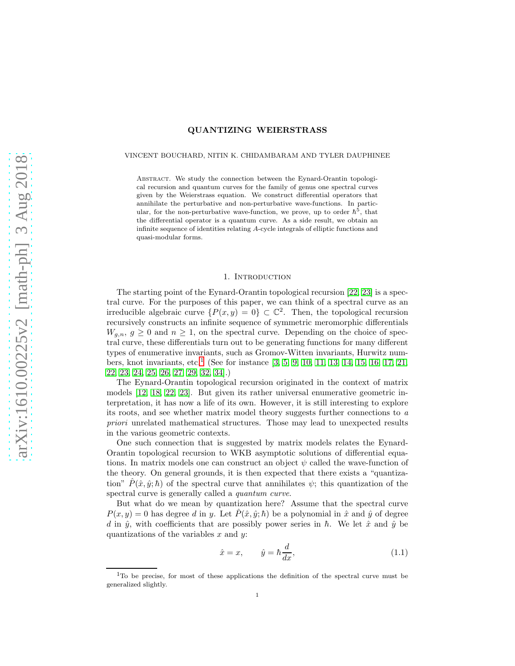# QUANTIZING WEIERSTRASS

### VINCENT BOUCHARD, NITIN K. CHIDAMBARAM AND TYLER DAUPHINEE

Abstract. We study the connection between the Eynard-Orantin topological recursion and quantum curves for the family of genus one spectral curves given by the Weierstrass equation. We construct differential operators that annihilate the perturbative and non-perturbative wave-functions. In particular, for the non-perturbative wave-function, we prove, up to order  $\hbar^5$ , that the differential operator is a quantum curve. As a side result, we obtain an infinite sequence of identities relating A-cycle integrals of elliptic functions and quasi-modular forms.

### 1. INTRODUCTION

The starting point of the Eynard-Orantin topological recursion [\[22,](#page-35-0) [23\]](#page-35-1) is a spectral curve. For the purposes of this paper, we can think of a spectral curve as an irreducible algebraic curve  $\{P(x,y) = 0\} \subset \mathbb{C}^2$ . Then, the topological recursion recursively constructs an infinite sequence of symmetric meromorphic differentials  $W_{g,n}, g \ge 0$  and  $n \ge 1$ , on the spectral curve. Depending on the choice of spectral curve, these differentials turn out to be generating functions for many different types of enumerative invariants, such as Gromov-Witten invariants, Hurwitz num-bers, knot invariants, etc.<sup>[1](#page-0-0)</sup> (See for instance [\[3,](#page-34-0) [5,](#page-34-1) [9,](#page-34-2) [10,](#page-34-3) [11,](#page-34-4) [13,](#page-35-2) [14,](#page-35-3) [15,](#page-35-4) [16,](#page-35-5) [17,](#page-35-6) [21,](#page-35-7) [22,](#page-35-0) [23,](#page-35-1) [24,](#page-35-8) [25,](#page-35-9) [26,](#page-35-10) [27,](#page-35-11) [29,](#page-35-12) [32,](#page-35-13) [34\]](#page-35-14).)

The Eynard-Orantin topological recursion originated in the context of matrix models [\[12,](#page-35-15) [18,](#page-35-16) [22,](#page-35-0) [23\]](#page-35-1). But given its rather universal enumerative geometric interpretation, it has now a life of its own. However, it is still interesting to explore its roots, and see whether matrix model theory suggests further connections to a priori unrelated mathematical structures. Those may lead to unexpected results in the various geometric contexts.

One such connection that is suggested by matrix models relates the Eynard-Orantin topological recursion to WKB asymptotic solutions of differential equations. In matrix models one can construct an object  $\psi$  called the wave-function of the theory. On general grounds, it is then expected that there exists a "quantization"  $\hat{P}(\hat{x}, \hat{y}; \hbar)$  of the spectral curve that annihilates  $\psi$ ; this quantization of the spectral curve is generally called a quantum curve.

But what do we mean by quantization here? Assume that the spectral curve  $P(x, y) = 0$  has degree d in y. Let  $\hat{P}(\hat{x}, \hat{y}; \hbar)$  be a polynomial in  $\hat{x}$  and  $\hat{y}$  of degree d in  $\hat{y}$ , with coefficients that are possibly power series in  $\hbar$ . We let  $\hat{x}$  and  $\hat{y}$  be quantizations of the variables  $x$  and  $y$ :

$$
\hat{x} = x, \qquad \hat{y} = \hbar \frac{d}{dx}, \tag{1.1}
$$

<span id="page-0-0"></span><sup>&</sup>lt;sup>1</sup>To be precise, for most of these applications the definition of the spectral curve must be generalized slightly.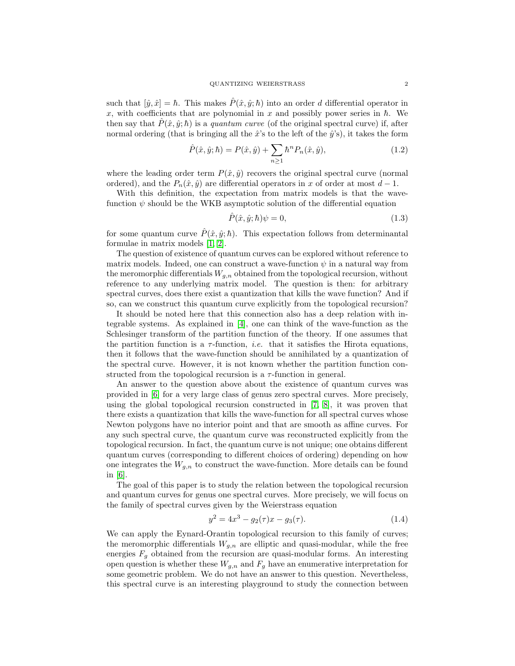such that  $[\hat{y}, \hat{x}] = \hbar$ . This makes  $\hat{P}(\hat{x}, \hat{y}; \hbar)$  into an order d differential operator in x, with coefficients that are polynomial in x and possibly power series in  $\hbar$ . We then say that  $\hat{P}(\hat{x}, \hat{y}; \hbar)$  is a *quantum curve* (of the original spectral curve) if, after normal ordering (that is bringing all the  $\hat{x}$ 's to the left of the  $\hat{y}$ 's), it takes the form

$$
\hat{P}(\hat{x}, \hat{y}; \hbar) = P(\hat{x}, \hat{y}) + \sum_{n \ge 1} \hbar^n P_n(\hat{x}, \hat{y}),
$$
\n(1.2)

where the leading order term  $P(\hat{x}, \hat{y})$  recovers the original spectral curve (normal ordered), and the  $P_n(\hat{x}, \hat{y})$  are differential operators in x of order at most  $d-1$ .

With this definition, the expectation from matrix models is that the wavefunction  $\psi$  should be the WKB asymptotic solution of the differential equation

$$
\hat{P}(\hat{x}, \hat{y}; \hbar)\psi = 0,\tag{1.3}
$$

for some quantum curve  $\hat{P}(\hat{x}, \hat{y}; \hbar)$ . This expectation follows from determinantal formulae in matrix models [\[1,](#page-34-5) [2\]](#page-34-6).

The question of existence of quantum curves can be explored without reference to matrix models. Indeed, one can construct a wave-function  $\psi$  in a natural way from the meromorphic differentials  $W_{q,n}$  obtained from the topological recursion, without reference to any underlying matrix model. The question is then: for arbitrary spectral curves, does there exist a quantization that kills the wave function? And if so, can we construct this quantum curve explicitly from the topological recursion?

It should be noted here that this connection also has a deep relation with integrable systems. As explained in [\[4\]](#page-34-7), one can think of the wave-function as the Schlesinger transform of the partition function of the theory. If one assumes that the partition function is a  $\tau$ -function, *i.e.* that it satisfies the Hirota equations, then it follows that the wave-function should be annihilated by a quantization of the spectral curve. However, it is not known whether the partition function constructed from the topological recursion is a  $\tau$ -function in general.

An answer to the question above about the existence of quantum curves was provided in [\[6\]](#page-34-8) for a very large class of genus zero spectral curves. More precisely, using the global topological recursion constructed in [\[7,](#page-34-9) [8\]](#page-34-10), it was proven that there exists a quantization that kills the wave-function for all spectral curves whose Newton polygons have no interior point and that are smooth as affine curves. For any such spectral curve, the quantum curve was reconstructed explicitly from the topological recursion. In fact, the quantum curve is not unique; one obtains different quantum curves (corresponding to different choices of ordering) depending on how one integrates the  $W_{g,n}$  to construct the wave-function. More details can be found in [\[6\]](#page-34-8).

The goal of this paper is to study the relation between the topological recursion and quantum curves for genus one spectral curves. More precisely, we will focus on the family of spectral curves given by the Weierstrass equation

$$
y^2 = 4x^3 - g_2(\tau)x - g_3(\tau). \tag{1.4}
$$

We can apply the Eynard-Orantin topological recursion to this family of curves; the meromorphic differentials  $W_{g,n}$  are elliptic and quasi-modular, while the free energies  $F_g$  obtained from the recursion are quasi-modular forms. An interesting open question is whether these  $W_{g,n}$  and  $F_g$  have an enumerative interpretation for some geometric problem. We do not have an answer to this question. Nevertheless, this spectral curve is an interesting playground to study the connection between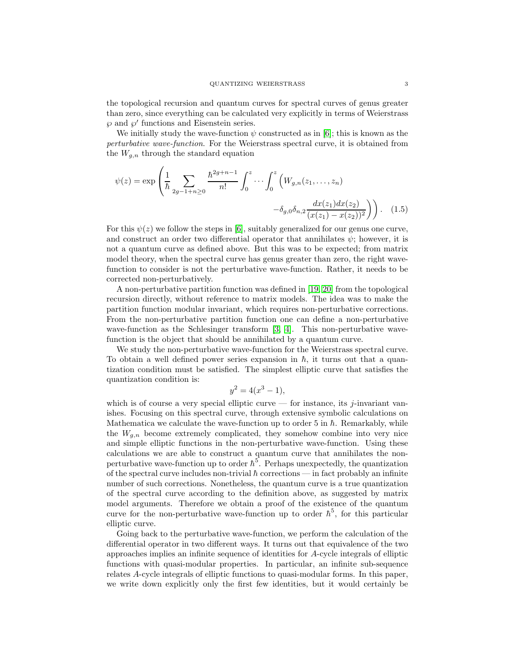the topological recursion and quantum curves for spectral curves of genus greater than zero, since everything can be calculated very explicitly in terms of Weierstrass  $\wp$  and  $\wp'$  functions and Eisenstein series.

We initially study the wave-function  $\psi$  constructed as in [\[6\]](#page-34-8); this is known as the perturbative wave-function. For the Weierstrass spectral curve, it is obtained from the  $W_{q,n}$  through the standard equation

$$
\psi(z) = \exp\left(\frac{1}{\hbar} \sum_{2g-1+n\geq 0} \frac{\hbar^{2g+n-1}}{n!} \int_0^z \cdots \int_0^z \left(W_{g,n}(z_1,\ldots,z_n) -\delta_{g,0}\delta_{n,2} \frac{dx(z_1)dx(z_2)}{(x(z_1)-x(z_2))^2}\right)\right).
$$
(1.5)

For this  $\psi(z)$  we follow the steps in [\[6\]](#page-34-8), suitably generalized for our genus one curve, and construct an order two differential operator that annihilates  $\psi$ ; however, it is not a quantum curve as defined above. But this was to be expected; from matrix model theory, when the spectral curve has genus greater than zero, the right wavefunction to consider is not the perturbative wave-function. Rather, it needs to be corrected non-perturbatively.

A non-perturbative partition function was defined in [\[19,](#page-35-17) [20\]](#page-35-18) from the topological recursion directly, without reference to matrix models. The idea was to make the partition function modular invariant, which requires non-perturbative corrections. From the non-perturbative partition function one can define a non-perturbative wave-function as the Schlesinger transform [\[3,](#page-34-0) [4\]](#page-34-7). This non-perturbative wavefunction is the object that should be annihilated by a quantum curve.

We study the non-perturbative wave-function for the Weierstrass spectral curve. To obtain a well defined power series expansion in  $\hbar$ , it turns out that a quantization condition must be satisfied. The simplest elliptic curve that satisfies the quantization condition is:

$$
y^2 = 4(x^3 - 1),
$$

which is of course a very special elliptic curve — for instance, its j-invariant vanishes. Focusing on this spectral curve, through extensive symbolic calculations on Mathematica we calculate the wave-function up to order 5 in  $\hbar$ . Remarkably, while the  $W_{q,n}$  become extremely complicated, they somehow combine into very nice and simple elliptic functions in the non-perturbative wave-function. Using these calculations we are able to construct a quantum curve that annihilates the nonperturbative wave-function up to order  $\hbar^5$ . Perhaps unexpectedly, the quantization of the spectral curve includes non-trivial  $\hbar$  corrections — in fact probably an infinite number of such corrections. Nonetheless, the quantum curve is a true quantization of the spectral curve according to the definition above, as suggested by matrix model arguments. Therefore we obtain a proof of the existence of the quantum curve for the non-perturbative wave-function up to order  $\hbar^5$ , for this particular elliptic curve.

Going back to the perturbative wave-function, we perform the calculation of the differential operator in two different ways. It turns out that equivalence of the two approaches implies an infinite sequence of identities for A-cycle integrals of elliptic functions with quasi-modular properties. In particular, an infinite sub-sequence relates A-cycle integrals of elliptic functions to quasi-modular forms. In this paper, we write down explicitly only the first few identities, but it would certainly be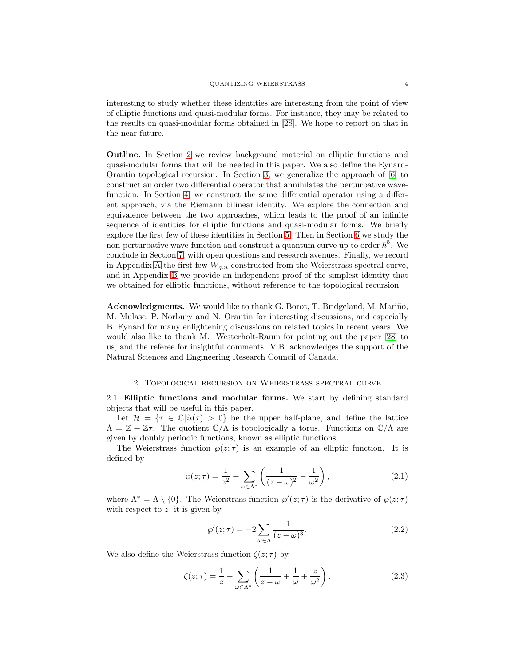interesting to study whether these identities are interesting from the point of view of elliptic functions and quasi-modular forms. For instance, they may be related to the results on quasi-modular forms obtained in [\[28\]](#page-35-19). We hope to report on that in the near future.

Outline. In Section [2](#page-3-0) we review background material on elliptic functions and quasi-modular forms that will be needed in this paper. We also define the Eynard-Orantin topological recursion. In Section [3,](#page-8-0) we generalize the approach of [\[6\]](#page-34-8) to construct an order two differential operator that annihilates the perturbative wavefunction. In Section [4,](#page-16-0) we construct the same differential operator using a different approach, via the Riemann bilinear identity. We explore the connection and equivalence between the two approaches, which leads to the proof of an infinite sequence of identities for elliptic functions and quasi-modular forms. We briefly explore the first few of these identities in Section [5.](#page-21-0) Then in Section [6](#page-22-0) we study the non-perturbative wave-function and construct a quantum curve up to order  $\hbar^5$ . We conclude in Section [7,](#page-30-0) with open questions and research avenues. Finally, we record in [A](#page-31-0)ppendix A the first few  $W_{g,n}$  constructed from the Weierstrass spectral curve, and in Appendix [B](#page-33-0) we provide an independent proof of the simplest identity that we obtained for elliptic functions, without reference to the topological recursion.

Acknowledgments. We would like to thank G. Borot, T. Bridgeland, M. Mariño, M. Mulase, P. Norbury and N. Orantin for interesting discussions, and especially B. Eynard for many enlightening discussions on related topics in recent years. We would also like to thank M. Westerholt-Raum for pointing out the paper [\[28\]](#page-35-19) to us, and the referee for insightful comments. V.B. acknowledges the support of the Natural Sciences and Engineering Research Council of Canada.

### 2. Topological recursion on Weierstrass spectral curve

<span id="page-3-0"></span>2.1. Elliptic functions and modular forms. We start by defining standard objects that will be useful in this paper.

Let  $\mathcal{H} = {\tau \in \mathbb{C}|\Im(\tau) > 0}$  be the upper half-plane, and define the lattice  $\Lambda = \mathbb{Z} + \mathbb{Z}\tau$ . The quotient  $\mathbb{C}/\Lambda$  is topologically a torus. Functions on  $\mathbb{C}/\Lambda$  are given by doubly periodic functions, known as elliptic functions.

The Weierstrass function  $\varphi(z;\tau)$  is an example of an elliptic function. It is defined by

$$
\wp(z;\tau) = \frac{1}{z^2} + \sum_{\omega \in \Lambda^*} \left( \frac{1}{(z-\omega)^2} - \frac{1}{\omega^2} \right),\tag{2.1}
$$

where  $\Lambda^* = \Lambda \setminus \{0\}$ . The Weierstrass function  $\wp'(z;\tau)$  is the derivative of  $\wp(z;\tau)$ with respect to  $z$ ; it is given by

$$
\wp'(z;\tau) = -2\sum_{\omega \in \Lambda} \frac{1}{(z-\omega)^3}.\tag{2.2}
$$

We also define the Weierstrass function  $\zeta(z;\tau)$  by

$$
\zeta(z;\tau) = \frac{1}{z} + \sum_{\omega \in \Lambda^*} \left( \frac{1}{z - \omega} + \frac{1}{\omega} + \frac{z}{\omega^2} \right). \tag{2.3}
$$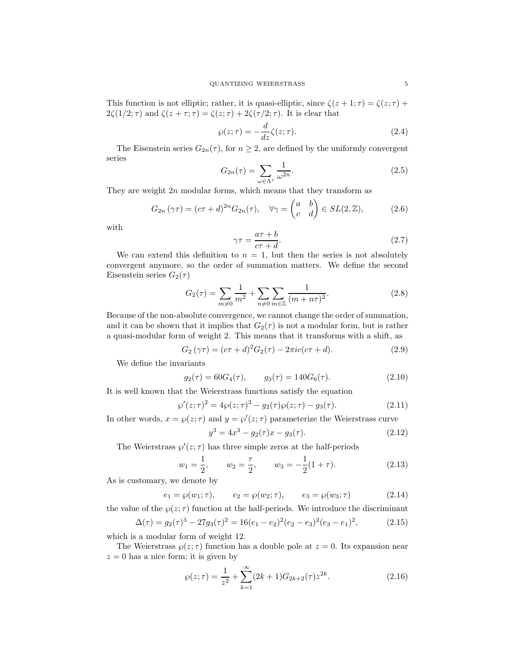This function is not elliptic; rather, it is quasi-elliptic, since  $\zeta(z+1;\tau) = \zeta(z;\tau) + \zeta(z;\tau)$  $2\zeta(1/2;\tau)$  and  $\zeta(z+\tau;\tau) = \zeta(z;\tau) + 2\zeta(\tau/2;\tau)$ . It is clear that

$$
\wp(z;\tau) = -\frac{d}{dz}\zeta(z;\tau). \tag{2.4}
$$

The Eisenstein series  $G_{2n}(\tau)$ , for  $n \geq 2$ , are defined by the uniformly convergent series

$$
G_{2n}(\tau) = \sum_{\omega \in \Lambda^*} \frac{1}{\omega^{2n}}.
$$
\n(2.5)

They are weight  $2n$  modular forms, which means that they transform as

$$
G_{2n}(\gamma \tau) = (c\tau + d)^{2n} G_{2n}(\tau), \quad \forall \gamma = \begin{pmatrix} a & b \\ c & d \end{pmatrix} \in SL(2, \mathbb{Z}), \tag{2.6}
$$

with

$$
\gamma \tau = \frac{a\tau + b}{c\tau + d}.\tag{2.7}
$$

We can extend this definition to  $n = 1$ , but then the series is not absolutely convergent anymore, so the order of summation matters. We define the second Eisenstein series  $G_2(\tau)$ 

$$
G_2(\tau) = \sum_{m \neq 0} \frac{1}{m^2} + \sum_{n \neq 0} \sum_{m \in \mathbb{Z}} \frac{1}{(m + n\tau)^2}.
$$
 (2.8)

Because of the non-absolute convergence, we cannot change the order of summation, and it can be shown that it implies that  $G_2(\tau)$  is not a modular form, but is rather a quasi-modular form of weight 2. This means that it transforms with a shift, as

$$
G_2(\gamma \tau) = (c\tau + d)^2 G_2(\tau) - 2\pi i c (c\tau + d). \tag{2.9}
$$

We define the invariants

$$
g_2(\tau) = 60G_4(\tau), \qquad g_3(\tau) = 140G_6(\tau). \tag{2.10}
$$

It is well known that the Weierstrass functions satisfy the equation

<span id="page-4-1"></span>
$$
\wp'(z;\tau)^2 = 4\wp(z;\tau)^3 - g_2(\tau)\wp(z;\tau) - g_3(\tau). \tag{2.11}
$$

In other words,  $x = \wp(z;\tau)$  and  $y = \wp'(z;\tau)$  parameterize the Weierstrass curve

$$
y^3 = 4x^3 - g_2(\tau)x - g_3(\tau). \tag{2.12}
$$

The Weierstrass  $\wp'(z;\tau)$  has three simple zeros at the half-periods

$$
w_1 = \frac{1}{2}
$$
,  $w_2 = \frac{\tau}{2}$ ,  $w_3 = -\frac{1}{2}(1+\tau)$ . (2.13)

As is customary, we denote by

$$
e_1 = \wp(w_1; \tau), \qquad e_2 = \wp(w_2; \tau), \qquad e_3 = \wp(w_3; \tau)
$$
 (2.14)

the value of the  $\varphi(z;\tau)$  function at the half-periods. We introduce the discriminant

$$
\Delta(\tau) = g_2(\tau)^3 - 27g_3(\tau)^2 = 16(e_1 - e_2)^2(e_2 - e_3)^2(e_3 - e_1)^2,
$$
\n(2.15)

which is a modular form of weight 12.

The Weierstrass  $\varphi(z;\tau)$  function has a double pole at  $z=0$ . Its expansion near  $z = 0$  has a nice form; it is given by

<span id="page-4-0"></span>
$$
\wp(z;\tau) = \frac{1}{z^2} + \sum_{k=1}^{\infty} (2k+1) G_{2k+2}(\tau) z^{2k}.
$$
 (2.16)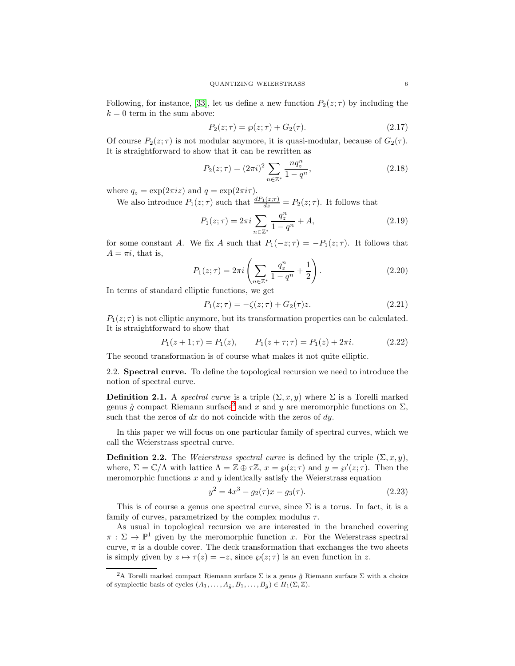Following, for instance, [\[33\]](#page-35-20), let us define a new function  $P_2(z;\tau)$  by including the  $k = 0$  term in the sum above:

<span id="page-5-1"></span>
$$
P_2(z; \tau) = \wp(z; \tau) + G_2(\tau). \tag{2.17}
$$

Of course  $P_2(z;\tau)$  is not modular anymore, it is quasi-modular, because of  $G_2(\tau)$ . It is straightforward to show that it can be rewritten as

$$
P_2(z;\tau) = (2\pi i)^2 \sum_{n \in \mathbb{Z}^*} \frac{n q_z^n}{1 - q^n},\tag{2.18}
$$

where  $q_z = \exp(2\pi i z)$  and  $q = \exp(2\pi i \tau)$ .

We also introduce  $P_1(z;\tau)$  such that  $\frac{dP_1(z;\tau)}{dz} = P_2(z;\tau)$ . It follows that

$$
P_1(z;\tau) = 2\pi i \sum_{n \in \mathbb{Z}^*} \frac{q_z^n}{1 - q^n} + A,\tag{2.19}
$$

for some constant A. We fix A such that  $P_1(-z;\tau) = -P_1(z;\tau)$ . It follows that  $A = \pi i$ , that is,

$$
P_1(z; \tau) = 2\pi i \left( \sum_{n \in \mathbb{Z}^*} \frac{q_2^n}{1 - q^n} + \frac{1}{2} \right).
$$
 (2.20)

In terms of standard elliptic functions, we get

$$
P_1(z; \tau) = -\zeta(z; \tau) + G_2(\tau)z.
$$
 (2.21)

 $P_1(z;\tau)$  is not elliptic anymore, but its transformation properties can be calculated. It is straightforward to show that

$$
P_1(z+1;\tau) = P_1(z), \qquad P_1(z+\tau;\tau) = P_1(z) + 2\pi i. \tag{2.22}
$$

The second transformation is of course what makes it not quite elliptic.

2.2. Spectral curve. To define the topological recursion we need to introduce the notion of spectral curve.

**Definition 2.1.** A spectral curve is a triple  $(\Sigma, x, y)$  where  $\Sigma$  is a Torelli marked genus  $\hat{g}$  compact Riemann surface<sup>[2](#page-5-0)</sup> and x and y are meromorphic functions on  $\Sigma$ , such that the zeros of  $dx$  do not coincide with the zeros of  $dy$ .

In this paper we will focus on one particular family of spectral curves, which we call the Weierstrass spectral curve.

**Definition 2.2.** The *Weierstrass spectral curve* is defined by the triple  $(\Sigma, x, y)$ , where,  $\Sigma = \mathbb{C}/\Lambda$  with lattice  $\Lambda = \mathbb{Z} \oplus \tau \mathbb{Z}$ ,  $x = \wp(z; \tau)$  and  $y = \wp'(z; \tau)$ . Then the meromorphic functions  $x$  and  $y$  identically satisfy the Weierstrass equation

$$
y^2 = 4x^3 - g_2(\tau)x - g_3(\tau). \tag{2.23}
$$

This is of course a genus one spectral curve, since  $\Sigma$  is a torus. In fact, it is a family of curves, parametrized by the complex modulus  $\tau$ .

As usual in topological recursion we are interested in the branched covering  $\pi : \Sigma \to \mathbb{P}^1$  given by the meromorphic function x. For the Weierstrass spectral curve,  $\pi$  is a double cover. The deck transformation that exchanges the two sheets is simply given by  $z \mapsto \tau(z) = -z$ , since  $\wp(z; \tau)$  is an even function in z.

<span id="page-5-0"></span><sup>&</sup>lt;sup>2</sup>A Torelli marked compact Riemann surface  $\Sigma$  is a genus  $\hat{g}$  Riemann surface  $\Sigma$  with a choice of symplectic basis of cycles  $(A_1, \ldots, A_{\hat{q}}, B_1, \ldots, B_{\hat{q}}) \in H_1(\Sigma, \mathbb{Z})$ .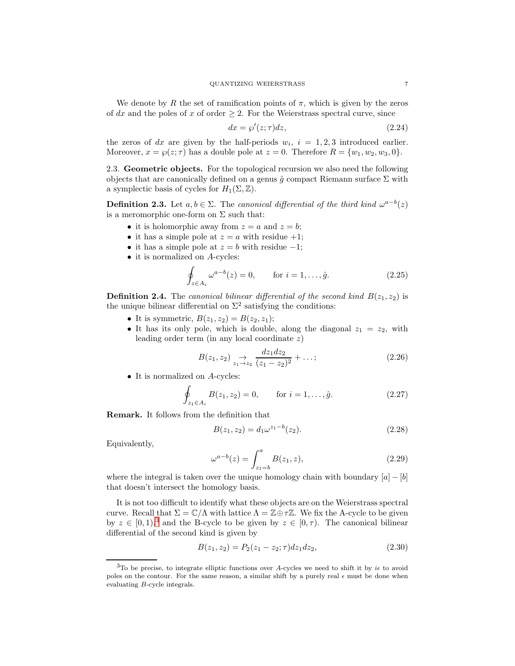We denote by R the set of ramification points of  $\pi$ , which is given by the zeros of dx and the poles of x of order  $\geq 2$ . For the Weierstrass spectral curve, since

$$
dx = \wp'(z; \tau)dz,\tag{2.24}
$$

the zeros of dx are given by the half-periods  $w_i$ ,  $i = 1, 2, 3$  introduced earlier. Moreover,  $x = \wp(z; \tau)$  has a double pole at  $z = 0$ . Therefore  $R = \{w_1, w_2, w_3, 0\}$ .

2.3. Geometric objects. For the topological recursion we also need the following objects that are canonically defined on a genus  $\hat{g}$  compact Riemann surface  $\Sigma$  with a symplectic basis of cycles for  $H_1(\Sigma, \mathbb{Z})$ .

**Definition 2.3.** Let  $a, b \in \Sigma$ . The canonical differential of the third kind  $\omega^{a-b}(z)$ is a meromorphic one-form on  $\Sigma$  such that:

- it is holomorphic away from  $z = a$  and  $z = b$ ;
- it has a simple pole at  $z = a$  with residue  $+1$ ;
- it has a simple pole at  $z = b$  with residue  $-1$ ;
- it is normalized on A-cycles:

$$
\oint_{z \in A_i} \omega^{a-b}(z) = 0, \quad \text{for } i = 1, \dots, \hat{g}.
$$
\n(2.25)

**Definition 2.4.** The canonical bilinear differential of the second kind  $B(z_1, z_2)$  is the unique bilinear differential on  $\Sigma^2$  satisfying the conditions:

- It is symmetric,  $B(z_1, z_2) = B(z_2, z_1);$
- It has its only pole, which is double, along the diagonal  $z_1 = z_2$ , with leading order term (in any local coordinate  $z$ )

$$
B(z_1, z_2) \underset{z_1 \to z_2}{\to} \frac{dz_1 dz_2}{(z_1 - z_2)^2} + \dots; \tag{2.26}
$$

• It is normalized on A-cycles:

$$
\oint_{z_1 \in A_i} B(z_1, z_2) = 0, \quad \text{for } i = 1, \dots, \hat{g}.
$$
\n(2.27)

Remark. It follows from the definition that

$$
B(z_1, z_2) = d_1 \omega^{z_1 - b}(z_2). \tag{2.28}
$$

Equivalently,

<span id="page-6-1"></span>
$$
\omega^{a-b}(z) = \int_{z_1=b}^{a} B(z_1, z), \qquad (2.29)
$$

where the integral is taken over the unique homology chain with boundary  $[a] - [b]$ that doesn't intersect the homology basis.

It is not too difficult to identify what these objects are on the Weierstrass spectral curve. Recall that  $\Sigma = \mathbb{C}/\Lambda$  with lattice  $\Lambda = \mathbb{Z} \oplus \tau \mathbb{Z}$ . We fix the A-cycle to be given by  $z \in [0, 1),$ <sup>[3](#page-6-0)</sup> and the B-cycle to be given by  $z \in [0, \tau)$ . The canonical bilinear differential of the second kind is given by

$$
B(z_1, z_2) = P_2(z_1 - z_2; \tau) dz_1 dz_2, \qquad (2.30)
$$

<span id="page-6-0"></span> $3$ To be precise, to integrate elliptic functions over A-cycles we need to shift it by  $i\epsilon$  to avoid poles on the contour. For the same reason, a similar shift by a purely real  $\epsilon$  must be done when evaluating B-cycle integrals.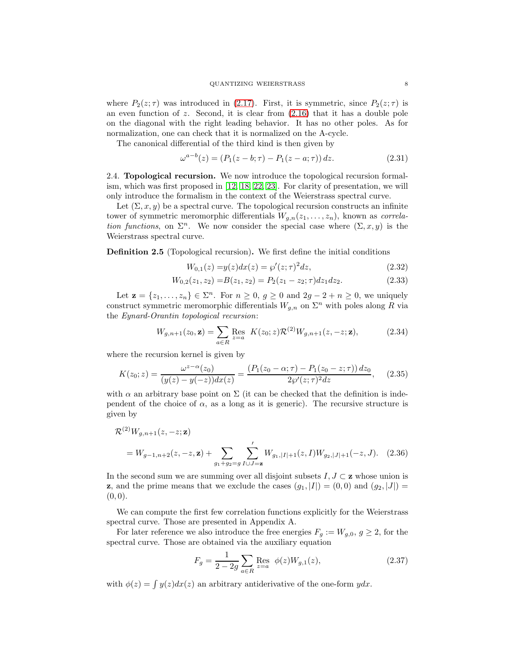where  $P_2(z;\tau)$  was introduced in [\(2.17\)](#page-5-1). First, it is symmetric, since  $P_2(z;\tau)$  is an even function of  $z$ . Second, it is clear from  $(2.16)$  that it has a double pole on the diagonal with the right leading behavior. It has no other poles. As for normalization, one can check that it is normalized on the A-cycle.

The canonical differential of the third kind is then given by

$$
\omega^{a-b}(z) = (P_1(z - b; \tau) - P_1(z - a; \tau)) dz.
$$
\n(2.31)

2.4. Topological recursion. We now introduce the topological recursion formalism, which was first proposed in [\[12,](#page-35-15) [18,](#page-35-16) [22,](#page-35-0) [23\]](#page-35-1). For clarity of presentation, we will only introduce the formalism in the context of the Weierstrass spectral curve.

Let  $(\Sigma, x, y)$  be a spectral curve. The topological recursion constructs an infinite tower of symmetric meromorphic differentials  $W_{q,n}(z_1,\ldots,z_n)$ , known as *correla*tion functions, on  $\Sigma^n$ . We now consider the special case where  $(\Sigma, x, y)$  is the Weierstrass spectral curve.

Definition 2.5 (Topological recursion). We first define the initial conditions

$$
W_{0,1}(z) = y(z)dx(z) = \wp'(z;\tau)^2 dz,
$$
\n(2.32)

$$
W_{0,2}(z_1, z_2) = B(z_1, z_2) = P_2(z_1 - z_2; \tau) dz_1 dz_2.
$$
\n(2.33)

Let  $\mathbf{z} = \{z_1, \ldots, z_n\} \in \Sigma^n$ . For  $n \geq 0$ ,  $g \geq 0$  and  $2g - 2 + n \geq 0$ , we uniquely construct symmetric meromorphic differentials  $W_{g,n}$  on  $\Sigma^n$  with poles along R via the Eynard-Orantin topological recursion:

<span id="page-7-1"></span>
$$
W_{g,n+1}(z_0, \mathbf{z}) = \sum_{a \in R} \text{Res}_{z=a} K(z_0; z) \mathcal{R}^{(2)} W_{g,n+1}(z, -z; \mathbf{z}), \tag{2.34}
$$

where the recursion kernel is given by

$$
K(z_0; z) = \frac{\omega^{z-\alpha}(z_0)}{(y(z) - y(-z))dx(z)} = \frac{(P_1(z_0 - \alpha; \tau) - P_1(z_0 - z; \tau)) dz_0}{2\wp'(z; \tau)^2 dz},
$$
(2.35)

with  $\alpha$  an arbitrary base point on  $\Sigma$  (it can be checked that the definition is independent of the choice of  $\alpha$ , as a long as it is generic). The recursive structure is given by

$$
\mathcal{R}^{(2)}W_{g,n+1}(z,-z;\mathbf{z}) = W_{g-1,n+2}(z,-z,\mathbf{z}) + \sum_{g_1+g_2=g} \sum_{I\cup J=\mathbf{z}}' W_{g_1,|I|+1}(z,I)W_{g_2,|J|+1}(-z,J). \quad (2.36)
$$

In the second sum we are summing over all disjoint subsets  $I, J \subset \mathbf{z}$  whose union is **z**, and the prime means that we exclude the cases  $(g_1, |I|) = (0, 0)$  and  $(g_2, |J|) =$  $(0, 0).$ 

We can compute the first few correlation functions explicitly for the Weierstrass spectral curve. Those are presented in Appendix A.

For later reference we also introduce the free energies  $F_g := W_{g,0}, g \geq 2$ , for the spectral curve. Those are obtained via the auxiliary equation

<span id="page-7-2"></span><span id="page-7-0"></span>
$$
F_g = \frac{1}{2 - 2g} \sum_{a \in R} \text{Res}_{z=a} \phi(z) W_{g,1}(z), \tag{2.37}
$$

with  $\phi(z) = \int y(z)dx(z)$  an arbitrary antiderivative of the one-form  $ydx$ .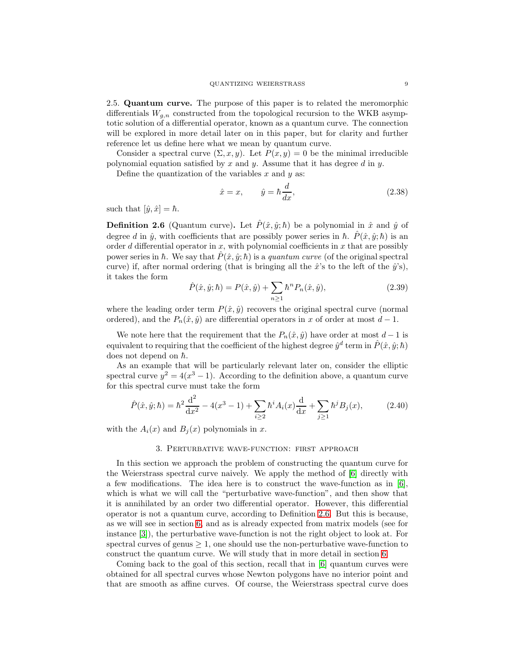2.5. Quantum curve. The purpose of this paper is to related the meromorphic differentials  $W_{q,n}$  constructed from the topological recursion to the WKB asymptotic solution of a differential operator, known as a quantum curve. The connection will be explored in more detail later on in this paper, but for clarity and further reference let us define here what we mean by quantum curve.

Consider a spectral curve  $(\Sigma, x, y)$ . Let  $P(x, y) = 0$  be the minimal irreducible polynomial equation satisfied by x and y. Assume that it has degree d in y.

Define the quantization of the variables  $x$  and  $y$  as:

$$
\hat{x} = x, \qquad \hat{y} = \hbar \frac{d}{dx}, \tag{2.38}
$$

such that  $[\hat{y}, \hat{x}] = \hbar$ .

<span id="page-8-1"></span>**Definition 2.6** (Quantum curve). Let  $\hat{P}(\hat{x}, \hat{y}; \hbar)$  be a polynomial in  $\hat{x}$  and  $\hat{y}$  of degree d in  $\hat{y}$ , with coefficients that are possibly power series in  $\hbar$ .  $\hat{P}(\hat{x}, \hat{y}; \hbar)$  is an order d differential operator in x, with polynomial coefficients in x that are possibly power series in  $\hbar$ . We say that  $\hat{P}(\hat{x}, \hat{y}; \hbar)$  is a *quantum curve* (of the original spectral curve) if, after normal ordering (that is bringing all the  $\hat{x}$ 's to the left of the  $\hat{y}$ 's), it takes the form

$$
\hat{P}(\hat{x}, \hat{y}; \hbar) = P(\hat{x}, \hat{y}) + \sum_{n \ge 1} \hbar^n P_n(\hat{x}, \hat{y}),
$$
\n(2.39)

where the leading order term  $P(\hat{x}, \hat{y})$  recovers the original spectral curve (normal ordered), and the  $P_n(\hat{x}, \hat{y})$  are differential operators in x of order at most  $d-1$ .

We note here that the requirement that the  $P_n(\hat{x}, \hat{y})$  have order at most  $d-1$  is equivalent to requiring that the coefficient of the highest degree  $\hat{y}^d$  term in  $\hat{P}(\hat{x}, \hat{y}; \hbar)$ does not depend on  $\hbar$ .

As an example that will be particularly relevant later on, consider the elliptic spectral curve  $y^2 = 4(x^3 - 1)$ . According to the definition above, a quantum curve for this spectral curve must take the form

<span id="page-8-2"></span>
$$
\hat{P}(\hat{x}, \hat{y}; \hbar) = \hbar^2 \frac{d^2}{dx^2} - 4(x^3 - 1) + \sum_{i \ge 2} \hbar^i A_i(x) \frac{d}{dx} + \sum_{j \ge 1} \hbar^j B_j(x), \tag{2.40}
$$

<span id="page-8-0"></span>with the  $A_i(x)$  and  $B_j(x)$  polynomials in x.

# 3. Perturbative wave-function: first approach

In this section we approach the problem of constructing the quantum curve for the Weierstrass spectral curve naively. We apply the method of [\[6\]](#page-34-8) directly with a few modifications. The idea here is to construct the wave-function as in  $[6]$ , which is what we will call the "perturbative wave-function", and then show that it is annihilated by an order two differential operator. However, this differential operator is not a quantum curve, according to Definition [2.6.](#page-8-1) But this is because, as we will see in section [6,](#page-22-0) and as is already expected from matrix models (see for instance [\[3\]](#page-34-0)), the perturbative wave-function is not the right object to look at. For spectral curves of genus  $\geq 1$ , one should use the non-perturbative wave-function to construct the quantum curve. We will study that in more detail in section [6.](#page-22-0)

Coming back to the goal of this section, recall that in [\[6\]](#page-34-8) quantum curves were obtained for all spectral curves whose Newton polygons have no interior point and that are smooth as affine curves. Of course, the Weierstrass spectral curve does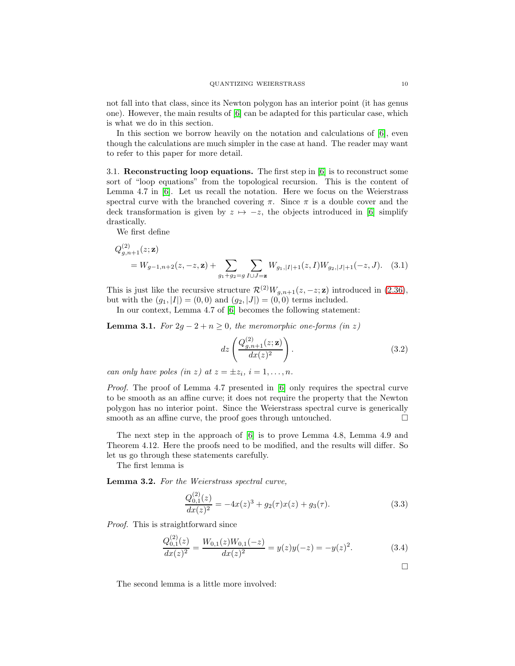not fall into that class, since its Newton polygon has an interior point (it has genus one). However, the main results of [\[6\]](#page-34-8) can be adapted for this particular case, which is what we do in this section.

In this section we borrow heavily on the notation and calculations of [\[6\]](#page-34-8), even though the calculations are much simpler in the case at hand. The reader may want to refer to this paper for more detail.

3.1. Reconstructing loop equations. The first step in [\[6\]](#page-34-8) is to reconstruct some sort of "loop equations" from the topological recursion. This is the content of Lemma 4.7 in [\[6\]](#page-34-8). Let us recall the notation. Here we focus on the Weierstrass spectral curve with the branched covering  $\pi$ . Since  $\pi$  is a double cover and the deck transformation is given by  $z \mapsto -z$ , the objects introduced in [\[6\]](#page-34-8) simplify drastically.

We first define

 $(2)$ 

$$
Q_{g,n+1}^{(2)}(z; \mathbf{z}) = W_{g-1,n+2}(z, -z, \mathbf{z}) + \sum_{g_1+g_2=g} \sum_{I \cup J=\mathbf{z}} W_{g_1,|I|+1}(z, I) W_{g_2,|J|+1}(-z, J). \quad (3.1)
$$

This is just like the recursive structure  $\mathcal{R}^{(2)}W_{g,n+1}(z,-z;\mathbf{z})$  introduced in [\(2.36\)](#page-7-0), but with the  $(g_1, |I|) = (0, 0)$  and  $(g_2, |J|) = (0, 0)$  terms included.

In our context, Lemma 4.7 of [\[6\]](#page-34-8) becomes the following statement:

**Lemma 3.1.** For  $2g - 2 + n \geq 0$ , the meromorphic one-forms (in z)

$$
dz\left(\frac{Q_{g,n+1}^{(2)}(z;\mathbf{z})}{dx(z)^2}\right).
$$
\n(3.2)

can only have poles (in z) at  $z = \pm z_i$ ,  $i = 1, \ldots, n$ .

Proof. The proof of Lemma 4.7 presented in [\[6\]](#page-34-8) only requires the spectral curve to be smooth as an affine curve; it does not require the property that the Newton polygon has no interior point. Since the Weierstrass spectral curve is generically smooth as an affine curve, the proof goes through untouched.  $\Box$ 

The next step in the approach of [\[6\]](#page-34-8) is to prove Lemma 4.8, Lemma 4.9 and Theorem 4.12. Here the proofs need to be modified, and the results will differ. So let us go through these statements carefully.

The first lemma is

Lemma 3.2. For the Weierstrass spectral curve,

$$
\frac{Q_{0,1}^{(2)}(z)}{dx(z)^2} = -4x(z)^3 + g_2(\tau)x(z) + g_3(\tau). \tag{3.3}
$$

Proof. This is straightforward since  $(2)$ 

$$
\frac{Q_{0,1}^{(2)}(z)}{dx(z)^2} = \frac{W_{0,1}(z)W_{0,1}(-z)}{dx(z)^2} = y(z)y(-z) = -y(z)^2.
$$
 (3.4)

 $\Box$ 

The second lemma is a little more involved: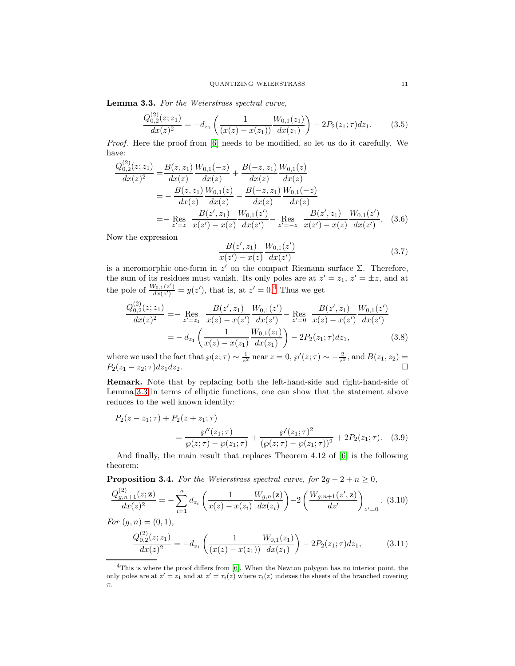<span id="page-10-1"></span>Lemma 3.3. For the Weierstrass spectral curve,

$$
\frac{Q_{0,2}^{(2)}(z;z_1)}{dx(z)^2} = -d_{z_1} \left( \frac{1}{(x(z) - x(z_1))} \frac{W_{0,1}(z_1)}{dx(z_1)} \right) - 2P_2(z_1;\tau)dz_1.
$$
 (3.5)

Proof. Here the proof from [\[6\]](#page-34-8) needs to be modified, so let us do it carefully. We have:  $(2)$ 

$$
\frac{Q_{0,2}^{(2)}(z;z_1)}{dx(z)^2} = \frac{B(z,z_1)}{dx(z)} \frac{W_{0,1}(-z)}{dx(z)} + \frac{B(-z,z_1)}{dx(z)} \frac{W_{0,1}(z)}{dx(z)}
$$
\n
$$
= -\frac{B(z,z_1)}{dx(z)} \frac{W_{0,1}(z)}{dx(z)} - \frac{B(-z,z_1)}{dx(z)} \frac{W_{0,1}(-z)}{dx(z)}
$$
\n
$$
= -\operatorname{Res}_{z'=z} \frac{B(z',z_1)}{x(z') - x(z)} \frac{W_{0,1}(z')}{dx(z')} - \operatorname{Res}_{z'=-z} \frac{B(z',z_1)}{x(z') - x(z)} \frac{W_{0,1}(z')}{dx(z')}.
$$
\n(3.6)

Now the expression

$$
\frac{B(z', z_1)}{x(z') - x(z)} \frac{W_{0,1}(z')}{dx(z')}
$$
\n(3.7)

is a meromorphic one-form in  $z'$  on the compact Riemann surface  $\Sigma$ . Therefore, the sum of its residues must vanish. Its only poles are at  $z' = z_1, z' = \pm z$ , and at the pole of  $\frac{W_{0,1}(z')}{dx(z')}$  $\frac{dV_{0,1}(z')}{dx(z')} = y(z')$ , that is, at  $z' = 0.4$  $z' = 0.4$  Thus we get

$$
\frac{Q_{0,2}^{(2)}(z;z_1)}{dx(z)^2} = -\operatorname{Res}_{z'=z_1} \frac{B(z',z_1)}{x(z) - x(z')} \frac{W_{0,1}(z')}{dx(z')} - \operatorname{Res}_{z'=0} \frac{B(z',z_1)}{x(z) - x(z')} \frac{W_{0,1}(z')}{dx(z')}
$$

$$
= -d_{z_1} \left( \frac{1}{x(z) - x(z_1)} \frac{W_{0,1}(z_1)}{dx(z_1)} \right) - 2P_2(z_1;\tau)dz_1, \tag{3.8}
$$

where we used the fact that  $\wp(z;\tau) \sim \frac{1}{z^2}$  near  $z = 0$ ,  $\wp'(z;\tau) \sim -\frac{2}{z^3}$ , and  $B(z_1,z_2) =$  $P_2(z_1 - z_2; \tau) dz_1 dz_2$ .

Remark. Note that by replacing both the left-hand-side and right-hand-side of Lemma [3.3](#page-10-1) in terms of elliptic functions, one can show that the statement above reduces to the well known identity:

$$
P_2(z-z_1;\tau) + P_2(z+z_1;\tau) = \frac{\wp''(z_1;\tau)}{\wp(z;\tau) - \wp(z_1;\tau)} + \frac{\wp'(z_1;\tau)^2}{(\wp(z;\tau) - \wp(z_1;\tau))^2} + 2P_2(z_1;\tau). \quad (3.9)
$$

And finally, the main result that replaces Theorem 4.12 of [\[6\]](#page-34-8) is the following theorem:

**Proposition 3.4.** For the Weierstrass spectral curve, for  $2g - 2 + n \geq 0$ ,

$$
\frac{Q_{g,n+1}^{(2)}(z;\mathbf{z})}{dx(z)^2} = -\sum_{i=1}^n d_{z_i} \left( \frac{1}{x(z) - x(z_i)} \frac{W_{g,n}(\mathbf{z})}{dx(z_i)} \right) - 2 \left( \frac{W_{g,n+1}(z',\mathbf{z})}{dz'} \right)_{z'=0} .
$$
 (3.10)

For  $(g, n) = (0, 1),$ 

$$
\frac{Q_{0,2}^{(2)}(z;z_1)}{dx(z)^2} = -d_{z_1} \left( \frac{1}{(x(z) - x(z_1))} \frac{W_{0,1}(z_1)}{dx(z_1)} \right) - 2P_2(z_1;\tau)dz_1, \tag{3.11}
$$

<span id="page-10-0"></span><sup>&</sup>lt;sup>4</sup>This is where the proof differs from [\[6\]](#page-34-8). When the Newton polygon has no interior point, the only poles are at  $z' = z_1$  and at  $z' = \tau_i(z)$  where  $\tau_i(z)$  indexes the sheets of the branched covering π.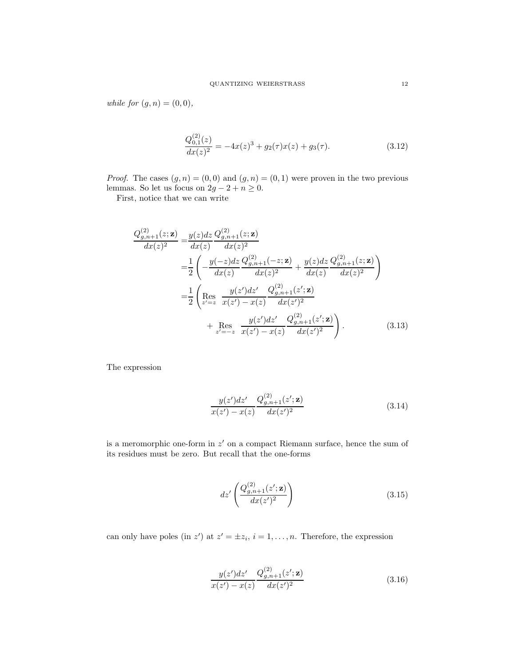while for  $(g, n) = (0, 0),$ 

$$
\frac{Q_{0,1}^{(2)}(z)}{dx(z)^2} = -4x(z)^3 + g_2(\tau)x(z) + g_3(\tau). \tag{3.12}
$$

*Proof.* The cases  $(g, n) = (0, 0)$  and  $(g, n) = (0, 1)$  were proven in the two previous lemmas. So let us focus on  $2g - 2 + n \geq 0$ .

First, notice that we can write

$$
\frac{Q_{g,n+1}^{(2)}(z;\mathbf{z})}{dx(z)^2} = \frac{y(z)dz}{dx(z)} \frac{Q_{g,n+1}^{(2)}(z;\mathbf{z})}{dx(z)^2}
$$
\n
$$
= \frac{1}{2} \left( -\frac{y(-z)dz}{dx(z)} \frac{Q_{g,n+1}^{(2)}(-z;\mathbf{z})}{dx(z)^2} + \frac{y(z)dz}{dx(z)} \frac{Q_{g,n+1}^{(2)}(z;\mathbf{z})}{dx(z)^2} \right)
$$
\n
$$
= \frac{1}{2} \left( \text{Res}_{z'=z} \frac{y(z')dz'}{x(z') - x(z)} \frac{Q_{g,n+1}^{(2)}(z';\mathbf{z})}{dx(z')^2} + \text{Res}_{z'=-z} \frac{y(z')dz'}{x(z') - x(z)} \frac{Q_{g,n+1}^{(2)}(z';\mathbf{z})}{dx(z')^2} \right). \tag{3.13}
$$

The expression

$$
\frac{y(z')dz'}{x(z') - x(z)} \frac{Q_{g,n+1}^{(2)}(z';\mathbf{z})}{dx(z')^2}
$$
(3.14)

is a meromorphic one-form in  $z'$  on a compact Riemann surface, hence the sum of its residues must be zero. But recall that the one-forms

$$
dz'\left(\frac{Q_{g,n+1}^{(2)}(z';\mathbf{z})}{dx(z')^2}\right) \tag{3.15}
$$

can only have poles (in z') at  $z' = \pm z_i$ ,  $i = 1, ..., n$ . Therefore, the expression

$$
\frac{y(z')dz'}{x(z') - x(z)} \frac{Q_{g,n+1}^{(2)}(z';\mathbf{z})}{dx(z')^2}
$$
(3.16)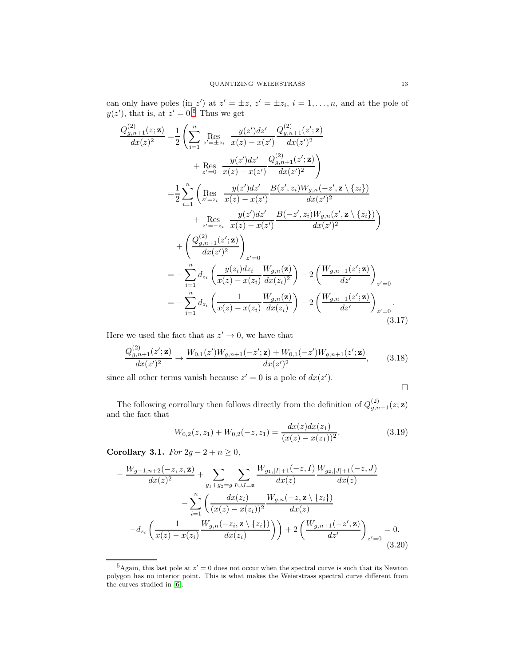can only have poles (in z') at  $z' = \pm z$ ,  $z' = \pm z_i$ ,  $i = 1, ..., n$ , and at the pole of  $y(z')$ , that is, at  $z' = 0.5$  $z' = 0.5$  Thus we get

$$
\frac{Q_{g,n+1}^{(2)}(z;\mathbf{z})}{dx(z)^{2}} = \frac{1}{2} \left( \sum_{i=1}^{n} \underset{z'=z}^{\text{Res}} \underset{z'=z}^{\text{Res}} \frac{y(z')dz'}{x(z) - x(z')} \frac{Q_{g,n+1}^{(2)}(z';\mathbf{z})}{dx(z')^{2}} + \underset{z'=0}^{\text{Res}} \frac{y(z')dz'}{x(z) - x(z')} \frac{Q_{g,n+1}^{(2)}(z';\mathbf{z})}{dx(z')^{2}} \right)
$$
\n
$$
= \frac{1}{2} \sum_{i=1}^{n} \left( \underset{z'=z_{i}}{\text{Res}} \frac{y(z')dz'}{x(z) - x(z')} \frac{B(z',z_{i})W_{g,n}(-z',\mathbf{z} \setminus \{z_{i}\})}{dx(z')^{2}} + \underset{z'=-z_{i}}{\text{Res}} \frac{y(z')dz'}{x(z) - x(z')} \frac{B(-z',z_{i})W_{g,n}(z',\mathbf{z} \setminus \{z_{i}\})}{dx(z')^{2}} \right) + \left( \frac{Q_{g,n+1}^{(2)}(z';\mathbf{z})}{dx(z')^{2}} \right)_{z'=0}
$$
\n
$$
= -\sum_{i=1}^{n} d_{z_{i}} \left( \frac{y(z_{i})dz_{i}}{x(z) - x(z_{i})} \frac{W_{g,n}(\mathbf{z})}{dx(z_{i})^{2}} \right) - 2 \left( \frac{W_{g,n+1}(z';\mathbf{z})}{dz'} \right)_{z'=0}
$$
\n
$$
= -\sum_{i=1}^{n} d_{z_{i}} \left( \frac{1}{x(z) - x(z_{i})} \frac{W_{g,n}(\mathbf{z})}{dx(z_{i})} \right) - 2 \left( \frac{W_{g,n+1}(z';\mathbf{z})}{dz'} \right)_{z'=0}.
$$
\n(3.17)

Here we used the fact that as  $z' \to 0$ , we have that

$$
\frac{Q_{g,n+1}^{(2)}(z';\mathbf{z})}{dx(z')^2} \to \frac{W_{0,1}(z')W_{g,n+1}(-z';\mathbf{z}) + W_{0,1}(-z')W_{g,n+1}(z';\mathbf{z})}{dx(z')^2},\tag{3.18}
$$

since all other terms vanish because  $z' = 0$  is a pole of  $dx(z')$ .

<span id="page-12-2"></span>
$$
\Box
$$

The following corrollary then follows directly from the definition of  $Q_{g,n+1}^{(2)}(z;\mathbf{z})$ and the fact that

$$
W_{0,2}(z, z_1) + W_{0,2}(-z, z_1) = \frac{dx(z)dx(z_1)}{(x(z) - x(z_1))^2}.
$$
\n(3.19)

<span id="page-12-1"></span>Corollary 3.1. For  $2g - 2 + n \geq 0$ ,

$$
-\frac{W_{g-1,n+2}(-z,z,\mathbf{z})}{dx(z)^{2}} + \sum_{g_1+g_2=g} \sum_{I\cup J=\mathbf{z}} \frac{W_{g_1,|I|+1}(-z,I)}{dx(z)} \frac{W_{g_2,|J|+1}(-z,J)}{dx(z)}
$$

$$
-\sum_{i=1}^{n} \left(\frac{dx(z_i)}{(x(z)-x(z_i))^2} \frac{W_{g,n}(-z,\mathbf{z})\{z_i\}}{dx(z)}\right)
$$

$$
-d_{z_i} \left(\frac{1}{x(z)-x(z_i)} \frac{W_{g,n}(-z_i,\mathbf{z}\setminus\{z_i\})}{dx(z_i)}\right) + 2\left(\frac{W_{g,n+1}(-z',\mathbf{z})}{dz'}\right)_{z'=0} = 0.
$$
(3.20)

<span id="page-12-0"></span><sup>&</sup>lt;sup>5</sup>Again, this last pole at  $z' = 0$  does not occur when the spectral curve is such that its Newton polygon has no interior point. This is what makes the Weierstrass spectral curve different from the curves studied in [\[6\]](#page-34-8).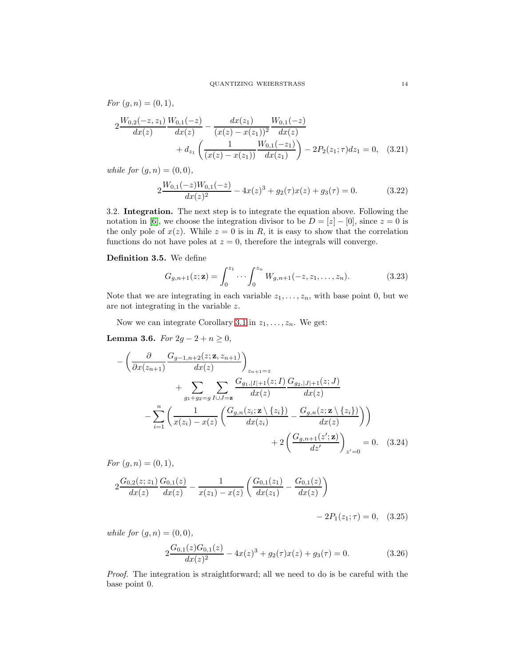For  $(g, n) = (0, 1),$ 

$$
2 \frac{W_{0,2}(-z,z_1)}{dx(z)} \frac{W_{0,1}(-z)}{dx(z)} - \frac{dx(z_1)}{(x(z) - x(z_1))^2} \frac{W_{0,1}(-z)}{dx(z)}
$$
  
+ 
$$
d_{z_1} \left( \frac{1}{(x(z) - x(z_1))} \frac{W_{0,1}(-z_1)}{dx(z_1)} \right) - 2P_2(z_1;\tau)dz_1 = 0, \quad (3.21)
$$

while for  $(g, n) = (0, 0)$ ,

$$
2\frac{W_{0,1}(-z)W_{0,1}(-z)}{dx(z)^2} - 4x(z)^3 + g_2(\tau)x(z) + g_3(\tau) = 0.
$$
 (3.22)

3.2. Integration. The next step is to integrate the equation above. Following the notation in [\[6\]](#page-34-8), we choose the integration divisor to be  $D = [z] - [0]$ , since  $z = 0$  is the only pole of  $x(z)$ . While  $z = 0$  is in R, it is easy to show that the correlation functions do not have poles at  $z = 0$ , therefore the integrals will converge.

### Definition 3.5. We define

$$
G_{g,n+1}(z; \mathbf{z}) = \int_0^{z_1} \cdots \int_0^{z_n} W_{g,n+1}(-z, z_1, \dots, z_n).
$$
 (3.23)

Note that we are integrating in each variable  $z_1, \ldots, z_n$ , with base point 0, but we are not integrating in the variable z.

Now we can integrate Corollary [3.1](#page-12-1) in  $z_1, \ldots, z_n$ . We get:

Lemma 3.6. For  $2g - 2 + n ≥ 0$ ,

$$
-\left(\frac{\partial}{\partial x(z_{n+1})}\frac{G_{g-1,n+2}(z;\mathbf{z},z_{n+1})}{dx(z)}\right)_{z_{n+1}=z} + \sum_{g_1+g_2=g} \sum_{I\cup J=\mathbf{z}} \frac{G_{g_1,|I|+1}(z;I)}{dx(z)} \frac{G_{g_2,|J|+1}(z;J)}{dx(z)} - \sum_{i=1}^n \left(\frac{1}{x(z_i)-x(z)}\left(\frac{G_{g,n}(z;i\mathbf{z}\setminus\{z_i\})}{dx(z_i)} - \frac{G_{g,n}(z;\mathbf{z}\setminus\{z_i\})}{dx(z)}\right)\right) + 2\left(\frac{G_{g,n+1}(z';\mathbf{z})}{dz'}\right)_{z'=0} = 0.
$$
 (3.24)

For  $(g, n) = (0, 1),$ 

$$
2\frac{G_{0,2}(z;z_1)}{dx(z)}\frac{G_{0,1}(z)}{dx(z)} - \frac{1}{x(z_1) - x(z)}\left(\frac{G_{0,1}(z_1)}{dx(z_1)} - \frac{G_{0,1}(z)}{dx(z)}\right)
$$

$$
-2P_1(z_1; \tau) = 0, \quad (3.25)
$$

while for  $(q, n) = (0, 0)$ ,

$$
2\frac{G_{0,1}(z)G_{0,1}(z)}{dx(z)^2} - 4x(z)^3 + g_2(\tau)x(z) + g_3(\tau) = 0.
$$
 (3.26)

Proof. The integration is straightforward; all we need to do is be careful with the base point 0.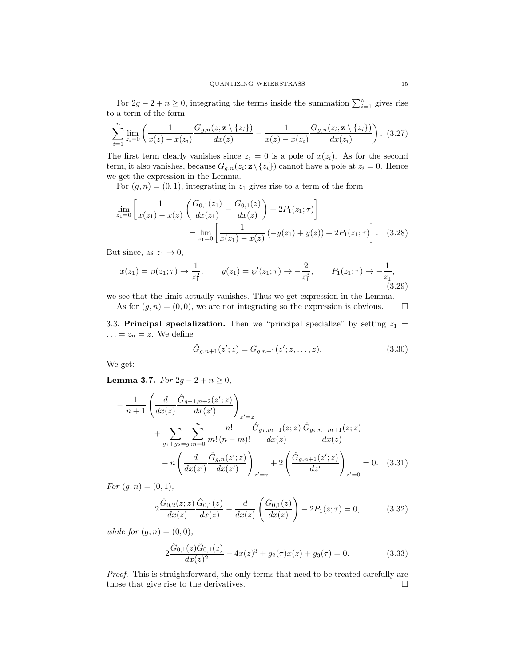For  $2g - 2 + n \ge 0$ , integrating the terms inside the summation  $\sum_{i=1}^{n}$  gives rise to a term of the form

$$
\sum_{i=1}^{n} \lim_{z_i=0} \left( \frac{1}{x(z) - x(z_i)} \frac{G_{g,n}(z; \mathbf{z} \setminus \{z_i\})}{dx(z)} - \frac{1}{x(z) - x(z_i)} \frac{G_{g,n}(z_i; \mathbf{z} \setminus \{z_i\})}{dx(z_i)} \right). \tag{3.27}
$$

The first term clearly vanishes since  $z_i = 0$  is a pole of  $x(z_i)$ . As for the second term, it also vanishes, because  $G_{g,n}(z_i; \mathbf{z} \setminus \{z_i\})$  cannot have a pole at  $z_i = 0$ . Hence we get the expression in the Lemma.

For  $(g, n) = (0, 1)$ , integrating in  $z_1$  gives rise to a term of the form

$$
\lim_{z_1=0} \left[ \frac{1}{x(z_1) - x(z)} \left( \frac{G_{0,1}(z_1)}{dx(z_1)} - \frac{G_{0,1}(z)}{dx(z)} \right) + 2P_1(z_1; \tau) \right]
$$

$$
= \lim_{z_1=0} \left[ \frac{1}{x(z_1) - x(z)} \left( -y(z_1) + y(z) \right) + 2P_1(z_1; \tau) \right]. \quad (3.28)
$$

But since, as  $z_1 \rightarrow 0$ ,

$$
x(z_1) = \wp(z_1; \tau) \to \frac{1}{z_1^2}, \qquad y(z_1) = \wp'(z_1; \tau) \to -\frac{2}{z_1^3}, \qquad P_1(z_1; \tau) \to -\frac{1}{z_1}, \tag{3.29}
$$

we see that the limit actually vanishes. Thus we get expression in the Lemma.

As for  $(g, n) = (0, 0)$ , we are not integrating so the expression is obvious.  $\square$ 

3.3. Principal specialization. Then we "principal specialize" by setting  $z_1 =$  $\ldots = z_n = z$ . We define

$$
\hat{G}_{g,n+1}(z';z) = G_{g,n+1}(z';z,\ldots,z). \tag{3.30}
$$

We get:

<span id="page-14-0"></span>Lemma 3.7. For  $2g - 2 + n ≥ 0$ ,

$$
-\frac{1}{n+1} \left( \frac{d}{dx(z)} \frac{\hat{G}_{g-1,n+2}(z';z)}{dx(z')} \right)_{z'=z} + \sum_{g_1+g_2=g} \sum_{m=0}^n \frac{n!}{m!(n-m)!} \frac{\hat{G}_{g_1,m+1}(z;z)}{dx(z)} \frac{\hat{G}_{g_2,n-m+1}(z;z)}{dx(z)} - n \left( \frac{d}{dx(z')} \frac{\hat{G}_{g,n}(z';z)}{dx(z')} \right)_{z'=z} + 2 \left( \frac{\hat{G}_{g,n+1}(z';z)}{dz'} \right)_{z'=0} = 0. \quad (3.31)
$$

For  $(g, n) = (0, 1),$ 

$$
2\frac{\hat{G}_{0,2}(z;z)}{dx(z)}\frac{\hat{G}_{0,1}(z)}{dx(z)} - \frac{d}{dx(z)}\left(\frac{\hat{G}_{0,1}(z)}{dx(z)}\right) - 2P_1(z;\tau) = 0,\tag{3.32}
$$

while for  $(g, n) = (0, 0)$ ,

$$
2\frac{\hat{G}_{0,1}(z)\hat{G}_{0,1}(z)}{dx(z)^{2}} - 4x(z)^{3} + g_{2}(\tau)x(z) + g_{3}(\tau) = 0.
$$
 (3.33)

Proof. This is straightforward, the only terms that need to be treated carefully are those that give rise to the derivatives.  $\square$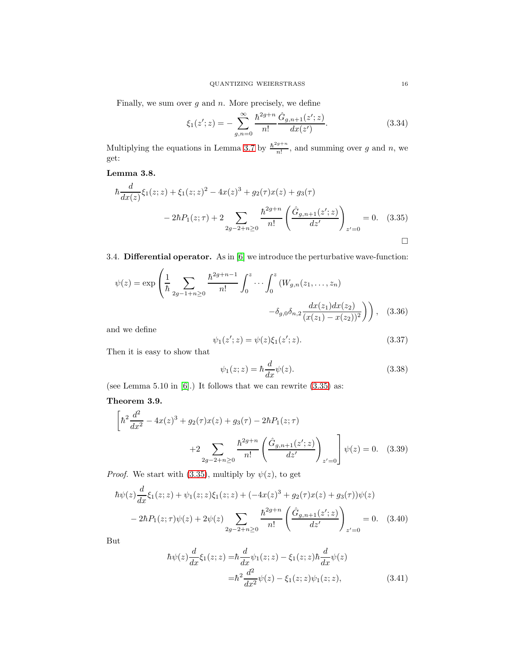Finally, we sum over  $g$  and  $n$ . More precisely, we define

$$
\xi_1(z';z) = -\sum_{g,n=0}^{\infty} \frac{\hbar^{2g+n}}{n!} \frac{\hat{G}_{g,n+1}(z';z)}{dx(z')}.
$$
\n(3.34)

Multiplying the equations in Lemma [3.7](#page-14-0) by  $\frac{\hbar^{2g+n}}{g!}$  $\frac{g+n}{n!}$ , and summing over g and n, we get:

Lemma 3.8.

$$
\hbar \frac{d}{dx(z)} \xi_1(z; z) + \xi_1(z; z)^2 - 4x(z)^3 + g_2(\tau)x(z) + g_3(\tau)
$$
  

$$
- 2\hbar P_1(z; \tau) + 2 \sum_{2g-2+n \ge 0} \frac{\hbar^{2g+n}}{n!} \left( \frac{\hat{G}_{g,n+1}(z'; z)}{dz'} \right)_{z'=0} = 0. \quad (3.35)
$$

3.4. Differential operator. As in [\[6\]](#page-34-8) we introduce the perturbative wave-function:

$$
\psi(z) = \exp\left(\frac{1}{\hbar} \sum_{2g-1+n\geq 0} \frac{\hbar^{2g+n-1}}{n!} \int_0^z \cdots \int_0^z (W_{g,n}(z_1,\ldots,z_n) -\delta_{g,0}\delta_{n,2} \frac{dx(z_1)dx(z_2)}{(x(z_1)-x(z_2))^2}\right),
$$
 (3.36)

and we define

<span id="page-15-0"></span>
$$
\psi_1(z';z) = \psi(z)\xi_1(z';z). \tag{3.37}
$$

Then it is easy to show that

<span id="page-15-3"></span><span id="page-15-2"></span>
$$
\psi_1(z; z) = \hbar \frac{d}{dx} \psi(z). \tag{3.38}
$$

(see Lemma 5.10 in  $[6]$ .) It follows that we can rewrite  $(3.35)$  as:

# <span id="page-15-1"></span>Theorem 3.9.

$$
\left[\hbar^2 \frac{d^2}{dx^2} - 4x(z)^3 + g_2(\tau)x(z) + g_3(\tau) - 2\hbar P_1(z;\tau) + 2 \sum_{2g-2+n \ge 0} \frac{\hbar^{2g+n}}{n!} \left( \frac{\hat{G}_{g,n+1}(z';z)}{dz'} \right)_{z'=0} \right] \psi(z) = 0. \quad (3.39)
$$

*Proof.* We start with [\(3.35\)](#page-15-0), multiply by  $\psi(z)$ , to get

$$
\hbar\psi(z)\frac{d}{dx}\xi_1(z;z) + \psi_1(z;z)\xi_1(z;z) + (-4x(z)^3 + g_2(\tau)x(z) + g_3(\tau))\psi(z)
$$
  

$$
-2\hbar P_1(z;\tau)\psi(z) + 2\psi(z)\sum_{2g-2+n\geq 0} \frac{\hbar^{2g+n}}{n!} \left(\frac{\hat{G}_{g,n+1}(z';z)}{dz'}\right)_{z'=0} = 0.
$$
 (3.40)

But

$$
\hbar\psi(z)\frac{d}{dx}\xi_1(z;z) = \hbar\frac{d}{dx}\psi_1(z;z) - \xi_1(z;z)\hbar\frac{d}{dx}\psi(z)
$$

$$
= \hbar^2\frac{d^2}{dx^2}\psi(z) - \xi_1(z;z)\psi_1(z;z), \tag{3.41}
$$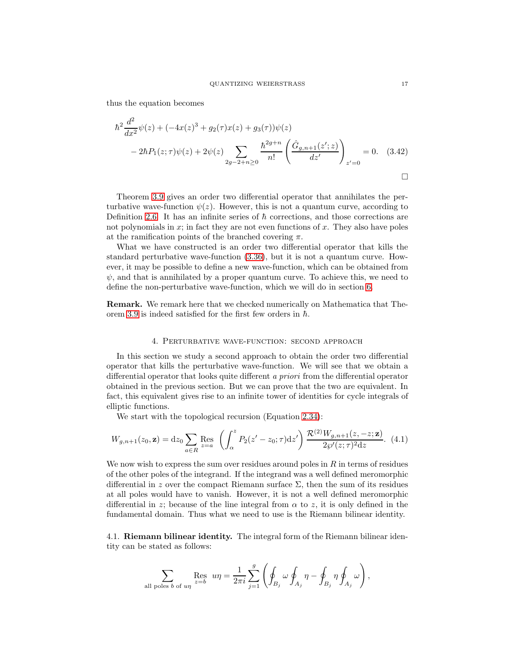thus the equation becomes

$$
\hbar^2 \frac{d^2}{dx^2} \psi(z) + (-4x(z)^3 + g_2(\tau)x(z) + g_3(\tau))\psi(z)
$$
  
- 2 $\hbar P_1(z;\tau)\psi(z) + 2\psi(z) \sum_{2g-2+n\geq 0} \frac{\hbar^{2g+n}}{n!} \left(\frac{\hat{G}_{g,n+1}(z';z)}{dz'}\right)_{z'=0} = 0.$  (3.42)

Theorem [3.9](#page-15-1) gives an order two differential operator that annihilates the perturbative wave-function  $\psi(z)$ . However, this is not a quantum curve, according to Definition [2.6.](#page-8-1) It has an infinite series of  $\hbar$  corrections, and those corrections are not polynomials in  $x$ ; in fact they are not even functions of  $x$ . They also have poles at the ramification points of the branched covering  $\pi$ .

What we have constructed is an order two differential operator that kills the standard perturbative wave-function [\(3.36\)](#page-15-2), but it is not a quantum curve. However, it may be possible to define a new wave-function, which can be obtained from  $\psi$ , and that is annihilated by a proper quantum curve. To achieve this, we need to define the non-perturbative wave-function, which we will do in section [6.](#page-22-0)

<span id="page-16-0"></span>Remark. We remark here that we checked numerically on Mathematica that The-orem [3.9](#page-15-1) is indeed satisfied for the first few orders in  $\hbar$ .

#### 4. Perturbative wave-function: second approach

In this section we study a second approach to obtain the order two differential operator that kills the perturbative wave-function. We will see that we obtain a differential operator that looks quite different a priori from the differential operator obtained in the previous section. But we can prove that the two are equivalent. In fact, this equivalent gives rise to an infinite tower of identities for cycle integrals of elliptic functions.

We start with the topological recursion (Equation [2.34\)](#page-7-1):

<span id="page-16-1"></span>
$$
W_{g,n+1}(z_0, \mathbf{z}) = dz_0 \sum_{a \in R} \text{Res}_{z=a} \left( \int_{\alpha}^{z} P_2(z'-z_0; \tau) dz' \right) \frac{\mathcal{R}^{(2)} W_{g,n+1}(z,-z; \mathbf{z})}{2\wp'(z; \tau)^2 dz}.
$$
 (4.1)

We now wish to express the sum over residues around poles in  $R$  in terms of residues of the other poles of the integrand. If the integrand was a well defined meromorphic differential in z over the compact Riemann surface  $\Sigma$ , then the sum of its residues at all poles would have to vanish. However, it is not a well defined meromorphic differential in z; because of the line integral from  $\alpha$  to z, it is only defined in the fundamental domain. Thus what we need to use is the Riemann bilinear identity.

4.1. Riemann bilinear identity. The integral form of the Riemann bilinear identity can be stated as follows:

$$
\sum_{\text{all poles }b \text{ of } u\eta} \operatorname{Res}_{z=b} u\eta = \frac{1}{2\pi i} \sum_{j=1}^g \left( \oint_{B_j} \omega \oint_{A_j} \eta - \oint_{B_j} \eta \oint_{A_j} \omega \right),
$$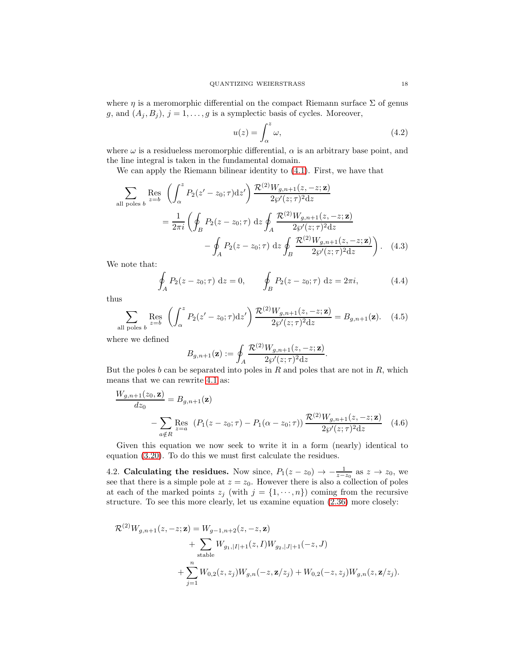where  $\eta$  is a meromorphic differential on the compact Riemann surface  $\Sigma$  of genus g, and  $(A_j, B_j)$ ,  $j = 1, ..., g$  is a symplectic basis of cycles. Moreover,

$$
u(z) = \int_{\alpha}^{z} \omega,\tag{4.2}
$$

where  $\omega$  is a residueless meromorphic differential,  $\alpha$  is an arbitrary base point, and the line integral is taken in the fundamental domain.

We can apply the Riemann bilinear identity to [\(4.1\)](#page-16-1). First, we have that

$$
\sum_{\text{all poles } b} \text{Res}_{z=b} \left( \int_{\alpha}^{z} P_2(z'-z_0; \tau) \, dz' \right) \frac{\mathcal{R}^{(2)} W_{g,n+1}(z, -z; \mathbf{z})}{2 \wp'(z; \tau)^2 \, dz}
$$
\n
$$
= \frac{1}{2\pi i} \left( \oint_B P_2(z-z_0; \tau) \, dz \oint_A \frac{\mathcal{R}^{(2)} W_{g,n+1}(z, -z; \mathbf{z})}{2 \wp'(z; \tau)^2 \, dz} - \oint_A P_2(z-z_0; \tau) \, dz \oint_B \frac{\mathcal{R}^{(2)} W_{g,n+1}(z, -z; \mathbf{z})}{2 \wp'(z; \tau)^2 \, dz} \right). \tag{4.3}
$$

We note that:

$$
\oint_{A} P_2(z - z_0; \tau) dz = 0, \qquad \oint_{B} P_2(z - z_0; \tau) dz = 2\pi i,
$$
\n(4.4)

thus

$$
\sum_{\text{all poles } b} \text{Res}_{z=b} \left( \int_{\alpha}^{z} P_2(z'-z_0; \tau) \mathrm{d}z' \right) \frac{\mathcal{R}^{(2)} W_{g,n+1}(z,-z; \mathbf{z})}{2\wp'(z; \tau)^2 \mathrm{d}z} = B_{g,n+1}(\mathbf{z}). \tag{4.5}
$$

where we defined

<span id="page-17-0"></span>
$$
B_{g,n+1}(\mathbf{z}) := \oint_A \frac{\mathcal{R}^{(2)} W_{g,n+1}(z,-z;\mathbf{z})}{2\wp'(z;\tau)^2 \mathrm{d}z}.
$$

But the poles b can be separated into poles in R and poles that are not in R, which means that we can rewrite [4.1](#page-16-1) as:

$$
\frac{W_{g,n+1}(z_0, \mathbf{z})}{dz_0} = B_{g,n+1}(\mathbf{z})
$$
\n
$$
- \sum_{a \notin R} \text{Res}_{z=a} (P_1(z - z_0; \tau) - P_1(\alpha - z_0; \tau)) \frac{\mathcal{R}^{(2)} W_{g,n+1}(z, -z; \mathbf{z})}{2\wp'(z; \tau)^2 dz} \tag{4.6}
$$

Given this equation we now seek to write it in a form (nearly) identical to equation [\(3.20\)](#page-12-2). To do this we must first calculate the residues.

4.2. Calculating the residues. Now since,  $P_1(z-z_0) \rightarrow -\frac{1}{z-z_0}$  as  $z \rightarrow z_0$ , we see that there is a simple pole at  $z = z_0$ . However there is also a collection of poles at each of the marked points  $z_j$  (with  $j = \{1, \dots, n\}$ ) coming from the recursive structure. To see this more clearly, let us examine equation [\(2.36\)](#page-7-0) more closely:

$$
\mathcal{R}^{(2)}W_{g,n+1}(z,-z;\mathbf{z}) = W_{g-1,n+2}(z,-z,\mathbf{z}) + \sum_{\text{stable}} W_{g_1,|I|+1}(z,I)W_{g_2,|J|+1}(-z,J) + \sum_{j=1}^{n} W_{0,2}(z,z_j)W_{g,n}(-z,\mathbf{z}/z_j) + W_{0,2}(-z,z_j)W_{g,n}(z,\mathbf{z}/z_j).
$$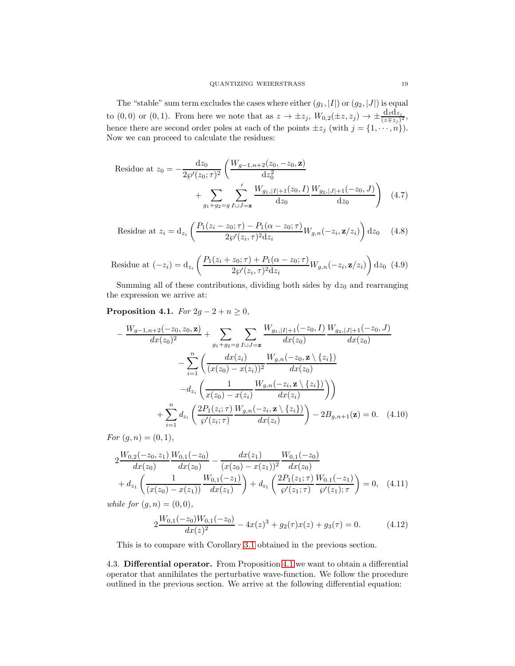The "stable" sum term excludes the cases where either  $(g_1, |I|)$  or  $(g_2, |J|)$  is equal to  $(0,0)$  or  $(0,1)$ . From here we note that as  $z \to \pm z_j$ ,  $W_{0,2}(\pm z, z_j) \to \pm \frac{\mathrm{d} z \mathrm{d} z_j}{(z \mp z_j)^2}$ , hence there are second order poles at each of the points  $\pm z_j$  (with  $j = \{1, \dots, n\}$ ). Now we can proceed to calculate the residues:

Residue at 
$$
z_0 = -\frac{dz_0}{2\wp'(z_0; \tau)^2} \left( \frac{W_{g-1,n+2}(z_0, -z_0, \mathbf{z})}{dz_0^2} + \sum_{g_1+g_2=g} \sum_{I \cup J=\mathbf{z}}' \frac{W_{g_1, |I|+1}(z_0, I)}{dz_0} \frac{W_{g_2, |J|+1}(-z_0, J)}{dz_0} \right)
$$
 (4.7)

Residue at 
$$
z_i = d_{z_i} \left( \frac{P_1(z_i - z_0; \tau) - P_1(\alpha - z_0; \tau)}{2g'(z_i, \tau)^2 dz_i} W_{g,n}(-z_i, \mathbf{z}/z_i) \right) dz_0
$$
 (4.8)

Residue at 
$$
(-z_i) = d_{z_i} \left( \frac{P_1(z_i + z_0; \tau) + P_1(\alpha - z_0; \tau)}{2\wp'(z_i, \tau)^2 dz_i} W_{g,n}(-z_i, \mathbf{z}/z_i) \right) dz_0
$$
 (4.9)

Summing all of these contributions, dividing both sides by  $dz_0$  and rearranging the expression we arrive at:

<span id="page-18-0"></span>Proposition 4.1. For  $2g - 2 + n \geq 0$ ,

$$
-\frac{W_{g-1,n+2}(-z_0, z_0, \mathbf{z})}{dx(z_0)^2} + \sum_{g_1+g_2=g} \sum_{I \cup J=\mathbf{z}} \frac{W_{g_1,|I|+1}(-z_0, I)}{dx(z_0)} \frac{W_{g_2,|J|+1}(-z_0, J)}{dx(z_0)}
$$

$$
-\sum_{i=1}^n \left(\frac{dx(z_i)}{(x(z_0) - x(z_i))^2} \frac{W_{g,n}(-z_0, \mathbf{z} \setminus \{z_i\})}{dx(z_0)}
$$

$$
-d_{z_i} \left(\frac{1}{x(z_0) - x(z_i)} \frac{W_{g,n}(-z_i, \mathbf{z} \setminus \{z_i\})}{dx(z_i)}\right)\right)
$$

$$
+\sum_{i=1}^n d_{z_i} \left(\frac{2P_1(z_i; \tau)}{s'(z_i; \tau)} \frac{W_{g,n}(-z_i, \mathbf{z} \setminus \{z_i\})}{dx(z_i)}\right) - 2B_{g,n+1}(\mathbf{z}) = 0. \quad (4.10)
$$

For  $(g, n) = (0, 1),$ 

$$
2 \frac{W_{0,2}(-z_0, z_1)}{dx(z_0)} \frac{W_{0,1}(-z_0)}{dx(z_0)} - \frac{dx(z_1)}{(x(z_0) - x(z_1))^2} \frac{W_{0,1}(-z_0)}{dx(z_0)}
$$
  
+  $d_{z_1} \left( \frac{1}{(x(z_0) - x(z_1))} \frac{W_{0,1}(-z_1)}{dx(z_1)} \right) + d_{z_1} \left( \frac{2P_1(z_1; \tau)}{\wp'(z_1; \tau)} \frac{W_{0,1}(-z_1)}{\wp'(z_1; \tau)} \right) = 0, \quad (4.11)$ 

while for  $(g, n) = (0, 0)$ ,

<span id="page-18-1"></span>
$$
2\frac{W_{0,1}(-z_0)W_{0,1}(-z_0)}{dx(z)^2} - 4x(z)^3 + g_2(\tau)x(z) + g_3(\tau) = 0.
$$
 (4.12)

This is to compare with Corollary [3.1](#page-12-1) obtained in the previous section.

4.3. Differential operator. From Proposition [4.1](#page-18-0) we want to obtain a differential operator that annihilates the perturbative wave-function. We follow the procedure outlined in the previous section. We arrive at the following differential equation: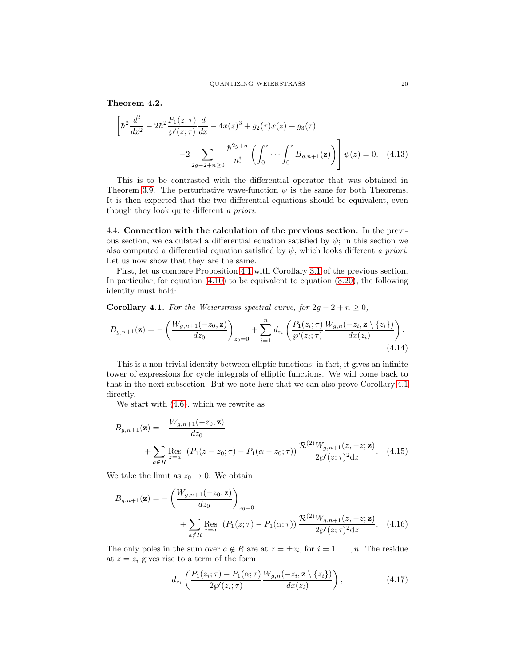<span id="page-19-2"></span>Theorem 4.2.

$$
\left[\hbar^2 \frac{d^2}{dx^2} - 2\hbar^2 \frac{P_1(z;\tau)}{\wp'(z;\tau)} \frac{d}{dx} - 4x(z)^3 + g_2(\tau)x(z) + g_3(\tau) -2 \sum_{2g-2+n \ge 0} \frac{\hbar^{2g+n}}{n!} \left( \int_0^z \cdots \int_0^z B_{g,n+1}(\mathbf{z}) \right) \psi(z) = 0. \quad (4.13)
$$

This is to be contrasted with the differential operator that was obtained in Theorem [3.9.](#page-15-1) The perturbative wave-function  $\psi$  is the same for both Theorems. It is then expected that the two differential equations should be equivalent, even though they look quite different a priori.

4.4. Connection with the calculation of the previous section. In the previous section, we calculated a differential equation satisfied by  $\psi$ ; in this section we also computed a differential equation satisfied by  $\psi$ , which looks different a priori. Let us now show that they are the same.

First, let us compare Proposition [4.1](#page-18-0) with Corollary [3.1](#page-12-1) of the previous section. In particular, for equation [\(4.10\)](#page-18-1) to be equivalent to equation [\(3.20\)](#page-12-2), the following identity must hold:

<span id="page-19-0"></span>Corollary 4.1. For the Weierstrass spectral curve, for  $2g - 2 + n \geq 0$ ,

<span id="page-19-1"></span>
$$
B_{g,n+1}(\mathbf{z}) = -\left(\frac{W_{g,n+1}(-z_0, \mathbf{z})}{dz_0}\right)_{z_0=0} + \sum_{i=1}^n d_{z_i} \left(\frac{P_1(z_i; \tau)}{\wp'(z_i; \tau)} \frac{W_{g,n}(-z_i, \mathbf{z} \setminus \{z_i\})}{dx(z_i)}\right). \tag{4.14}
$$

This is a non-trivial identity between elliptic functions; in fact, it gives an infinite tower of expressions for cycle integrals of elliptic functions. We will come back to that in the next subsection. But we note here that we can also prove Corollary [4.1](#page-19-0) directly.

We start with [\(4.6\)](#page-17-0), which we rewrite as

$$
B_{g,n+1}(\mathbf{z}) = -\frac{W_{g,n+1}(-z_0, \mathbf{z})}{dz_0} + \sum_{a \notin R} \text{Res}_{z=a} (P_1(z - z_0; \tau) - P_1(\alpha - z_0; \tau)) \frac{\mathcal{R}^{(2)} W_{g,n+1}(z, -z; \mathbf{z})}{2\wp'(z; \tau)^2 dz}.
$$
 (4.15)

We take the limit as  $z_0 \rightarrow 0$ . We obtain

$$
B_{g,n+1}(\mathbf{z}) = -\left(\frac{W_{g,n+1}(-z_0, \mathbf{z})}{dz_0}\right)_{z_0=0} + \sum_{a \notin R} \text{Res}_{z=a} (P_1(z;\tau) - P_1(\alpha;\tau)) \frac{\mathcal{R}^{(2)} W_{g,n+1}(z,-z;\mathbf{z})}{2\wp'(z;\tau)^2 dz}.
$$
 (4.16)

The only poles in the sum over  $a \notin R$  are at  $z = \pm z_i$ , for  $i = 1, \ldots, n$ . The residue at  $z = z_i$  gives rise to a term of the form

$$
d_{z_i}\left(\frac{P_1(z_i;\tau)-P_1(\alpha;\tau)}{2\wp'(z_i;\tau)}\frac{W_{g,n}(-z_i,\mathbf{z}\setminus\{z_i\})}{dx(z_i)}\right),\tag{4.17}
$$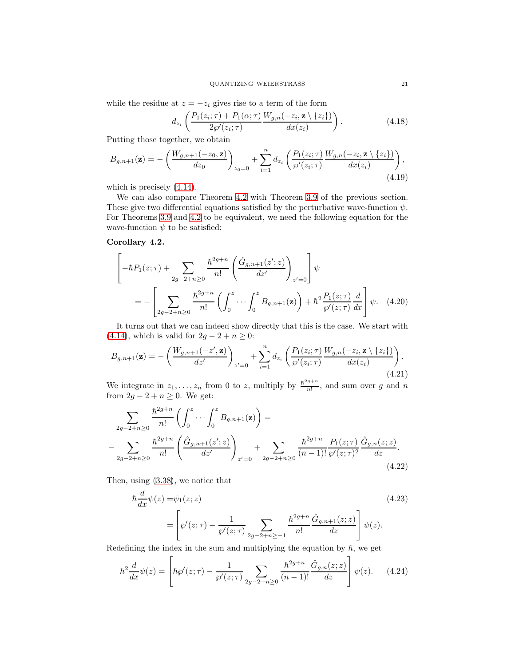while the residue at  $z = -z_i$  gives rise to a term of the form

$$
d_{z_i}\left(\frac{P_1(z_i;\tau) + P_1(\alpha;\tau)}{2\wp'(z_i;\tau)}\frac{W_{g,n}(-z_i,\mathbf{z}\setminus\{z_i\})}{dx(z_i)}\right). \tag{4.18}
$$

Putting those together, we obtain

$$
B_{g,n+1}(\mathbf{z}) = -\left(\frac{W_{g,n+1}(-z_0, \mathbf{z})}{dz_0}\right)_{z_0=0} + \sum_{i=1}^n d_{z_i} \left(\frac{P_1(z_i; \tau)}{\wp'(z_i; \tau)} \frac{W_{g,n}(-z_i, \mathbf{z} \setminus \{z_i\})}{dx(z_i)}\right),\tag{4.19}
$$

which is precisely [\(4.14\)](#page-19-1).

We can also compare Theorem [4.2](#page-19-2) with Theorem [3.9](#page-15-1) of the previous section. These give two differential equations satisfied by the perturbative wave-function  $\psi$ . For Theorems [3.9](#page-15-1) and [4.2](#page-19-2) to be equivalent, we need the following equation for the wave-function  $\psi$  to be satisfied:

# Corollary 4.2.

<span id="page-20-1"></span>
$$
\left[-\hbar P_1(z;\tau) + \sum_{2g-2+n\geq 0} \frac{\hbar^{2g+n}}{n!} \left(\frac{\hat{G}_{g,n+1}(z';z)}{dz'}\right)_{z'=0}\right] \psi
$$
  
= 
$$
-\left[\sum_{2g-2+n\geq 0} \frac{\hbar^{2g+n}}{n!} \left(\int_0^z \cdots \int_0^z B_{g,n+1}(\mathbf{z})\right) + \hbar^2 \frac{P_1(z;\tau)}{\wp'(z;\tau)} \frac{d}{dx}\right] \psi.
$$
 (4.20)

It turns out that we can indeed show directly that this is the case. We start with [\(4.14\)](#page-19-1), which is valid for  $2g - 2 + n \ge 0$ :

$$
B_{g,n+1}(\mathbf{z}) = -\left(\frac{W_{g,n+1}(-z',\mathbf{z})}{dz'}\right)_{z'=0} + \sum_{i=1}^{n} d_{z_i} \left(\frac{P_1(z_i;\tau)}{\wp'(z_i;\tau)} \frac{W_{g,n}(-z_i,\mathbf{z} \setminus \{z_i\})}{dx(z_i)}\right). \tag{4.21}
$$

We integrate in  $z_1, \ldots, z_n$  from 0 to z, multiply by  $\frac{\hbar^2 g + n}{n!}$  $\frac{g+n}{n!}$ , and sum over g and n from  $2g - 2 + n \geq 0$ . We get:

$$
\sum_{2g-2+n\geq 0} \frac{\hbar^{2g+n}}{n!} \left( \int_0^z \cdots \int_0^z B_{g,n+1}(\mathbf{z}) \right) =
$$
  

$$
-\sum_{2g-2+n\geq 0} \frac{\hbar^{2g+n}}{n!} \left( \frac{\hat{G}_{g,n+1}(z';z)}{dz'} \right)_{z'=0} + \sum_{2g-2+n\geq 0} \frac{\hbar^{2g+n}}{(n-1)!} \frac{P_1(z;\tau)}{\wp'(z;\tau)^2} \frac{\hat{G}_{g,n}(z;z)}{dz}.
$$
(4.22)

Then, using [\(3.38\)](#page-15-3), we notice that

<span id="page-20-0"></span> $\overline{a}$ 

$$
\hbar \frac{d}{dx} \psi(z) = \psi_1(z; z)
$$
\n
$$
= \left[ \wp'(z; \tau) - \frac{1}{\wp'(z; \tau)} \sum_{2g - 2 + n \ge -1} \frac{\hbar^{2g + n}}{n!} \frac{\hat{G}_{g, n+1}(z; z)}{dz} \right] \psi(z).
$$
\n(4.23)

Redefining the index in the sum and multiplying the equation by  $\hbar$ , we get

$$
\hbar^2 \frac{d}{dx} \psi(z) = \left[ \hbar \wp'(z; \tau) - \frac{1}{\wp'(z; \tau)} \sum_{2g - 2 + n \ge 0} \frac{\hbar^{2g + n}}{(n - 1)!} \frac{\hat{G}_{g, n}(z; z)}{dz} \right] \psi(z). \tag{4.24}
$$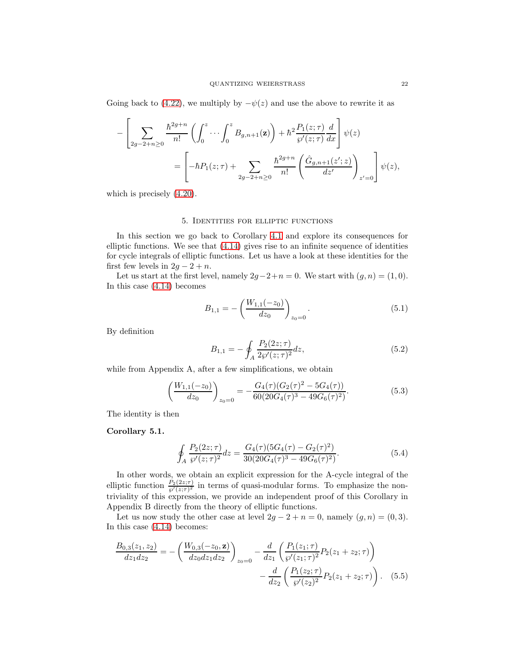Going back to [\(4.22\)](#page-20-0), we multiply by  $-\psi(z)$  and use the above to rewrite it as

$$
-\left[\sum_{2g-2+n\geq 0} \frac{\hbar^{2g+n}}{n!} \left(\int_0^z \cdots \int_0^z B_{g,n+1}(\mathbf{z})\right) + \hbar^2 \frac{P_1(z;\tau)}{\wp'(z;\tau)} \frac{d}{dx}\right] \psi(z)
$$
  
= 
$$
\left[-\hbar P_1(z;\tau) + \sum_{2g-2+n\geq 0} \frac{\hbar^{2g+n}}{n!} \left(\frac{\hat{G}_{g,n+1}(z';z)}{dz'}\right)_{z'=0}\right] \psi(z),
$$

<span id="page-21-0"></span>which is precisely [\(4.20\)](#page-20-1).

# 5. Identities for elliptic functions

In this section we go back to Corollary [4.1](#page-19-0) and explore its consequences for elliptic functions. We see that [\(4.14\)](#page-19-1) gives rise to an infinite sequence of identities for cycle integrals of elliptic functions. Let us have a look at these identities for the first few levels in  $2g - 2 + n$ .

Let us start at the first level, namely  $2g-2+n=0$ . We start with  $(g, n) = (1, 0)$ . In this case [\(4.14\)](#page-19-1) becomes

$$
B_{1,1} = -\left(\frac{W_{1,1}(-z_0)}{dz_0}\right)_{z_0=0}.\tag{5.1}
$$

By definition

$$
B_{1,1} = -\oint_A \frac{P_2(2z;\tau)}{2\wp'(z;\tau)^2} dz,\tag{5.2}
$$

while from Appendix A, after a few simplifications, we obtain

$$
\left(\frac{W_{1,1}(-z_0)}{dz_0}\right)_{z_0=0} = -\frac{G_4(\tau)(G_2(\tau)^2 - 5G_4(\tau))}{60(20G_4(\tau)^3 - 49G_6(\tau)^2)}.
$$
\n(5.3)

The identity is then

# <span id="page-21-1"></span>Corollary 5.1.

$$
\oint_{A} \frac{P_2(2z;\tau)}{\wp'(z;\tau)^2} dz = \frac{G_4(\tau)(5G_4(\tau) - G_2(\tau)^2)}{30(20G_4(\tau)^3 - 49G_6(\tau)^2)}.
$$
\n(5.4)

In other words, we obtain an explicit expression for the A-cycle integral of the elliptic function  $\frac{P_2(2z;\tau)}{\wp'(z;\tau)^2}$  in terms of quasi-modular forms. To emphasize the nontriviality of this expression, we provide an independent proof of this Corollary in Appendix B directly from the theory of elliptic functions.

Let us now study the other case at level  $2g - 2 + n = 0$ , namely  $(g, n) = (0, 3)$ . In this case [\(4.14\)](#page-19-1) becomes:

$$
\frac{B_{0,3}(z_1, z_2)}{dz_1 dz_2} = -\left(\frac{W_{0,3}(-z_0, \mathbf{z})}{dz_0 dz_1 dz_2}\right)_{z_0=0} - \frac{d}{dz_1} \left(\frac{P_1(z_1; \tau)}{\wp'(z_1; \tau)^2} P_2(z_1 + z_2; \tau)\right) - \frac{d}{dz_2} \left(\frac{P_1(z_2; \tau)}{\wp'(z_2)^2} P_2(z_1 + z_2; \tau)\right). \tag{5.5}
$$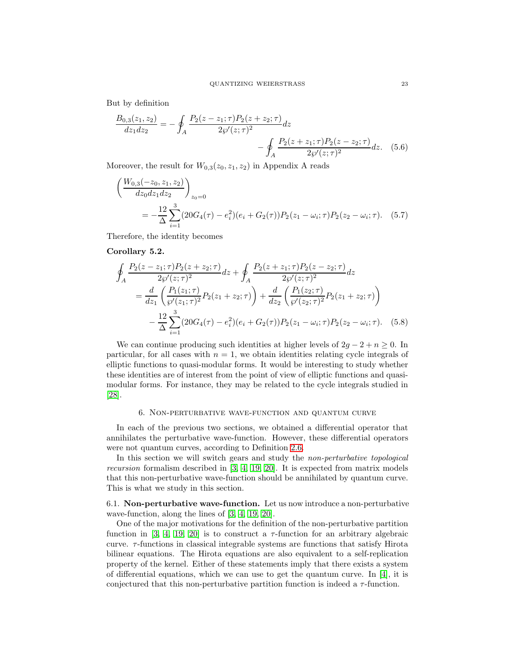But by definition

$$
\frac{B_{0,3}(z_1, z_2)}{dz_1 dz_2} = -\oint_A \frac{P_2(z - z_1; \tau) P_2(z + z_2; \tau)}{2\wp'(z; \tau)^2} dz - \oint_A \frac{P_2(z + z_1; \tau) P_2(z - z_2; \tau)}{2\wp'(z; \tau)^2} dz.
$$
(5.6)

Moreover, the result for  $W_{0,3}(z_0, z_1, z_2)$  in Appendix A reads

$$
\left(\frac{W_{0,3}(-z_0, z_1, z_2)}{dz_0 dz_1 dz_2}\right)_{z_0=0}
$$
\n
$$
= -\frac{12}{\Delta} \sum_{i=1}^3 (20G_4(\tau) - e_i^2)(e_i + G_2(\tau))P_2(z_1 - \omega_i; \tau)P_2(z_2 - \omega_i; \tau). \quad (5.7)
$$

Therefore, the identity becomes

# Corollary 5.2.

$$
\oint_{A} \frac{P_{2}(z-z_{1};\tau)P_{2}(z+z_{2};\tau)}{2\wp'(z;\tau)^{2}} dz + \oint_{A} \frac{P_{2}(z+z_{1};\tau)P_{2}(z-z_{2};\tau)}{2\wp'(z;\tau)^{2}} dz
$$
\n
$$
= \frac{d}{dz_{1}} \left( \frac{P_{1}(z_{1};\tau)}{\wp'(z_{1};\tau)^{2}} P_{2}(z_{1}+z_{2};\tau) \right) + \frac{d}{dz_{2}} \left( \frac{P_{1}(z_{2};\tau)}{\wp'(z_{2};\tau)^{2}} P_{2}(z_{1}+z_{2};\tau) \right)
$$
\n
$$
- \frac{12}{\Delta} \sum_{i=1}^{3} (20G_{4}(\tau) - e_{i}^{2})(e_{i} + G_{2}(\tau)) P_{2}(z_{1} - \omega_{i};\tau) P_{2}(z_{2} - \omega_{i};\tau). \quad (5.8)
$$

We can continue producing such identities at higher levels of  $2g - 2 + n \geq 0$ . In particular, for all cases with  $n = 1$ , we obtain identities relating cycle integrals of elliptic functions to quasi-modular forms. It would be interesting to study whether these identities are of interest from the point of view of elliptic functions and quasimodular forms. For instance, they may be related to the cycle integrals studied in [\[28\]](#page-35-19).

### 6. Non-perturbative wave-function and quantum curve

<span id="page-22-0"></span>In each of the previous two sections, we obtained a differential operator that annihilates the perturbative wave-function. However, these differential operators were not quantum curves, according to Definition [2.6.](#page-8-1)

In this section we will switch gears and study the non-perturbative topological recursion formalism described in [\[3,](#page-34-0) [4,](#page-34-7) [19,](#page-35-17) [20\]](#page-35-18). It is expected from matrix models that this non-perturbative wave-function should be annihilated by quantum curve. This is what we study in this section.

6.1. Non-perturbative wave-function. Let us now introduce a non-perturbative wave-function, along the lines of [\[3,](#page-34-0) [4,](#page-34-7) [19,](#page-35-17) [20\]](#page-35-18).

One of the major motivations for the definition of the non-perturbative partition function in [\[3,](#page-34-0) [4,](#page-34-7) [19,](#page-35-17) [20\]](#page-35-18) is to construct a  $\tau$ -function for an arbitrary algebraic curve.  $\tau$ -functions in classical integrable systems are functions that satisfy Hirota bilinear equations. The Hirota equations are also equivalent to a self-replication property of the kernel. Either of these statements imply that there exists a system of differential equations, which we can use to get the quantum curve. In  $[4]$ , it is conjectured that this non-perturbative partition function is indeed a  $\tau$ -function.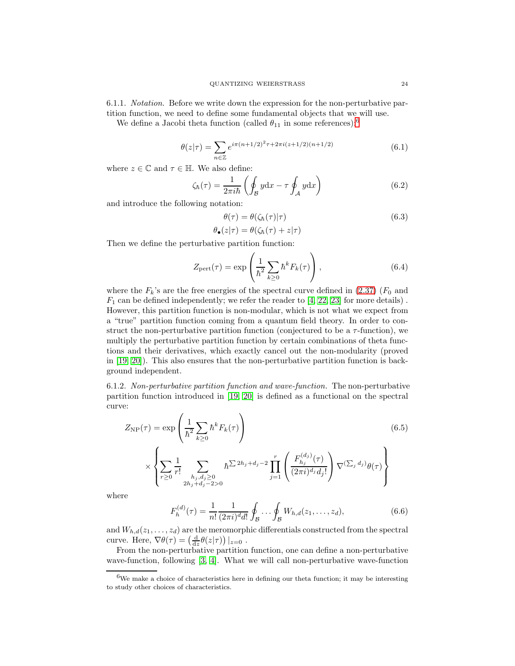6.1.1. Notation. Before we write down the expression for the non-perturbative partition function, we need to define some fundamental objects that we will use.

We define a Jacobi theta function (called  $\theta_{11}$  in some references):<sup>[6](#page-23-0)</sup>

$$
\theta(z|\tau) = \sum_{n \in \mathbb{Z}} e^{i\pi(n+1/2)^2 \tau + 2\pi i(z+1/2)(n+1/2)} \tag{6.1}
$$

where  $z \in \mathbb{C}$  and  $\tau \in \mathbb{H}$ . We also define:

$$
\zeta_{\hbar}(\tau) = \frac{1}{2\pi i \hbar} \left( \oint_{\mathcal{B}} y \mathrm{d}x - \tau \oint_{\mathcal{A}} y \mathrm{d}x \right) \tag{6.2}
$$

and introduce the following notation:

$$
\theta(\tau) = \theta(\zeta_{\hbar}(\tau)|\tau) \tag{6.3}
$$

$$
\theta_{\bullet}(z|\tau) = \theta(\zeta_{\hbar}(\tau) + z|\tau)
$$

Then we define the perturbative partition function:

$$
Z_{\text{pert}}(\tau) = \exp\left(\frac{1}{\hbar^2} \sum_{k\geq 0} \hbar^k F_k(\tau)\right),\tag{6.4}
$$

where the  $F_k$ 's are the free energies of the spectral curve defined in [\(2.37\)](#page-7-2) ( $F_0$  and  $F_1$  can be defined independently; we refer the reader to  $[4, 22, 23]$  $[4, 22, 23]$  $[4, 22, 23]$  for more details). However, this partition function is non-modular, which is not what we expect from a "true" partition function coming from a quantum field theory. In order to construct the non-perturbative partition function (conjectured to be a  $\tau$ -function), we multiply the perturbative partition function by certain combinations of theta functions and their derivatives, which exactly cancel out the non-modularity (proved in [\[19,](#page-35-17) [20\]](#page-35-18)). This also ensures that the non-perturbative partition function is background independent.

6.1.2. Non-perturbative partition function and wave-function. The non-perturbative partition function introduced in [\[19,](#page-35-17) [20\]](#page-35-18) is defined as a functional on the spectral curve:

$$
Z_{\rm NP}(\tau) = \exp\left(\frac{1}{\hbar^2} \sum_{k\geq 0} \hbar^k F_k(\tau)\right)
$$
(6.5)  

$$
\times \left\{\sum_{r\geq 0} \frac{1}{r!} \sum_{\substack{h_j, d_j \geq 0 \\ 2h_j + d_j - 2 > 0}} \hbar^{\sum 2h_j + d_j - 2} \prod_{j=1}^r \left(\frac{F_{h_j}^{(d_j)}(\tau)}{(2\pi i)^{d_j} d_j!} \right) \nabla^{(\sum_j d_j)} \theta(\tau)\right\}
$$

where

<span id="page-23-1"></span>
$$
F_h^{(d)}(\tau) = \frac{1}{n!} \frac{1}{(2\pi i)^d d!} \oint_{\mathcal{B}} \cdots \oint_{\mathcal{B}} W_{h,d}(z_1, \dots, z_d), \tag{6.6}
$$

and  $W_{h,d}(z_1,\ldots,z_d)$  are the meromorphic differentials constructed from the spectral curve. Here,  $\nabla \theta(\tau) = \left(\frac{d}{dz}\theta(z|\tau)\right)|_{z=0}$ .

From the non-perturbative partition function, one can define a non-perturbative wave-function, following [\[3,](#page-34-0) [4\]](#page-34-7). What we will call non-perturbative wave-function

<span id="page-23-0"></span> ${}^{6}\mathrm{We}$  make a choice of characteristics here in defining our theta function; it may be interesting to study other choices of characteristics.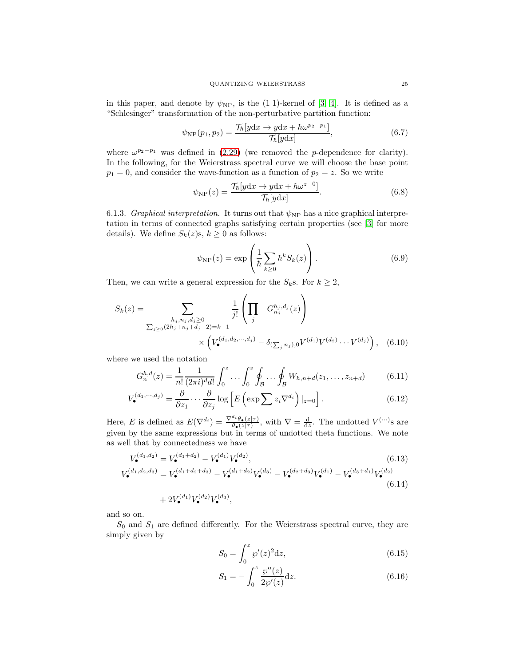in this paper, and denote by  $\psi_{\rm NP}$ , is the (1|1)-kernel of [\[3,](#page-34-0) [4\]](#page-34-7). It is defined as a "Schlesinger" transformation of the non-perturbative partition function:

$$
\psi_{\rm NP}(p_1, p_2) = \frac{\mathcal{T}_{\hbar}[ydx \to ydx + \hbar \omega^{p_2 - p_1}]}{\mathcal{T}_{\hbar}[ydx]},
$$
\n(6.7)

where  $\omega^{p_2-p_1}$  was defined in [\(2.29\)](#page-6-1) (we removed the p-dependence for clarity). In the following, for the Weierstrass spectral curve we will choose the base point  $p_1 = 0$ , and consider the wave-function as a function of  $p_2 = z$ . So we write

<span id="page-24-1"></span>
$$
\psi_{\rm NP}(z) = \frac{\mathcal{T}_{\hbar}[y\mathrm{d}x \to y\mathrm{d}x + \hbar\omega^{z-0}]}{\mathcal{T}_{\hbar}[y\mathrm{d}x]}.
$$
\n(6.8)

6.1.3. Graphical interpretation. It turns out that  $\psi_{\text{NP}}$  has a nice graphical interpretation in terms of connected graphs satisfying certain properties (see [\[3\]](#page-34-0) for more details). We define  $S_k(z)$ s,  $k \geq 0$  as follows:

<span id="page-24-0"></span>
$$
\psi_{\rm NP}(z) = \exp\left(\frac{1}{\hbar} \sum_{k \ge 0} \hbar^k S_k(z)\right). \tag{6.9}
$$

Then, we can write a general expression for the  $S_k$ s. For  $k \geq 2$ ,

$$
S_k(z) = \sum_{\substack{h_j, n_j, d_j \ge 0 \\ \sum_{j \ge 0} (2h_j + n_j + d_j - 2) = k - 1}} \frac{1}{j!} \left( \prod_j G_{n_j}^{h_j, d_j}(z) \right)
$$
  
 
$$
\times \left( V_{\bullet}^{(d_1, d_2, \cdots, d_j)} - \delta_{(\sum_j n_j), 0} V^{(d_1)} V^{(d_2)} \cdots V^{(d_j)} \right), \quad (6.10)
$$

where we used the notation

$$
G_n^{h,d}(z) = \frac{1}{n!} \frac{1}{(2\pi i)^d d!} \int_0^z \dots \int_0^z \oint_B \dots \oint_B W_{h,n+d}(z_1, \dots, z_{n+d}) \tag{6.11}
$$

$$
V_{\bullet}^{(d_1,\cdots,d_j)} = \frac{\partial}{\partial z_1} \cdots \frac{\partial}{\partial z_j} \log \left[ E \left( \exp \sum z_i \nabla^{d_i} \right) \vert_{z=0} \right]. \tag{6.12}
$$

Here, E is defined as  $E(\nabla^{d_i}) = \frac{\nabla^{d_i} \theta_{\bullet}(z|\tau)}{\theta_{\bullet}(z|\tau)},$  with  $\nabla = \frac{d}{dz}$ . The undotted  $V^{(\cdots)}$ s are given by the same expressions but in terms of undotted theta functions. We note as well that by connectedness we have

$$
V_{\bullet}^{(d_1, d_2)} = V_{\bullet}^{(d_1 + d_2)} - V_{\bullet}^{(d_1)} V_{\bullet}^{(d_2)},
$$
\n(6.13)

$$
V_{\bullet}^{(d_1, d_2, d_3)} = V_{\bullet}^{(d_1 + d_2 + d_3)} - V_{\bullet}^{(d_1 + d_2)} V_{\bullet}^{(d_3)} - V_{\bullet}^{(d_2 + d_3)} V_{\bullet}^{(d_1)} - V_{\bullet}^{(d_3 + d_1)} V_{\bullet}^{(d_2)}
$$
(6.14)

$$
+ 2V_{\bullet}^{(d_1)}V_{\bullet}^{(d_2)}V_{\bullet}^{(d_3)},
$$

and so on.

 $S_0$  and  $S_1$  are defined differently. For the Weierstrass spectral curve, they are simply given by

$$
S_0 = \int_0^z \wp'(z)^2 dz,
$$
\n(6.15)

$$
S_1 = -\int_0^z \frac{\wp''(z)}{2\wp'(z)} dz.
$$
 (6.16)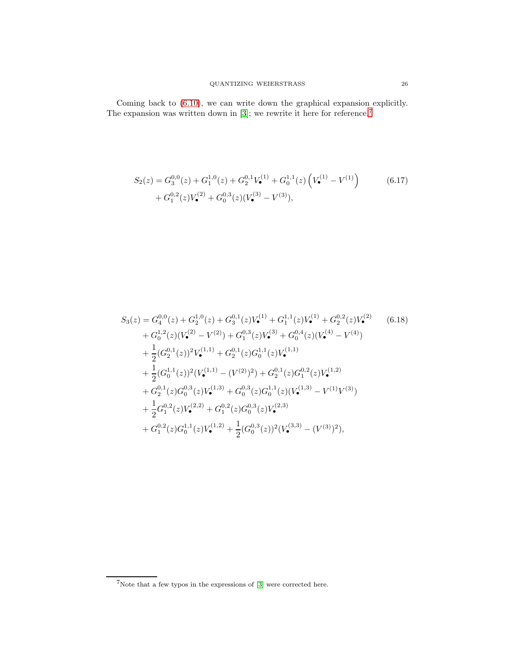$$
S_2(z) = G_3^{0,0}(z) + G_1^{1,0}(z) + G_2^{0,1}V_•^{(1)} + G_0^{1,1}(z) \left(V_•^{(1)} - V^{(1)}\right) + G_1^{0,2}(z)V_•^{(2)} + G_0^{0,3}(z)(V_•^{(3)} - V^{(3)}),
$$
(6.17)

$$
S_{3}(z) = G_{4}^{0,0}(z) + G_{2}^{1,0}(z) + G_{3}^{0,1}(z)V_{\bullet}^{(1)} + G_{1}^{1,1}(z)V_{\bullet}^{(1)} + G_{2}^{0,2}(z)V_{\bullet}^{(2)} \qquad (6.18)
$$
  
+  $G_{0}^{1,2}(z)(V_{\bullet}^{(2)} - V^{(2)}) + G_{1}^{0,3}(z)V_{\bullet}^{(3)} + G_{0}^{0,4}(z)(V_{\bullet}^{(4)} - V^{(4)})$   
+  $\frac{1}{2}(G_{2}^{0,1}(z))^{2}V_{\bullet}^{(1,1)} + G_{2}^{0,1}(z)G_{0}^{1,1}(z)V_{\bullet}^{(1,1)} + \frac{1}{2}(G_{0}^{1,1}(z))^{2}(V_{\bullet}^{(1,1)} - (V^{(2)})^{2}) + G_{2}^{0,1}(z)G_{1}^{0,2}(z)V_{\bullet}^{(1,2)} + G_{2}^{0,1}(z)G_{0}^{0,3}(z)V_{\bullet}^{(1,3)} + G_{0}^{0,3}(z)G_{0}^{1,1}(z)(V_{\bullet}^{(1,3)} - V^{(1)}V^{(3)})$   
+  $\frac{1}{2}G_{1}^{0,2}(z)V_{\bullet}^{(2,2)} + G_{1}^{0,2}(z)G_{0}^{0,3}(z)V_{\bullet}^{(2,3)}$   
+  $G_{1}^{0,2}(z)G_{0}^{1,1}(z)V_{\bullet}^{(1,2)} + \frac{1}{2}(G_{0}^{0,3}(z))^{2}(V_{\bullet}^{(3,3)} - (V^{(3)})^{2}),$ 

<span id="page-25-0"></span> ${\rm ^7N}$  ote that a few typos in the expressions of [\[3\]](#page-34-0) were corrected here.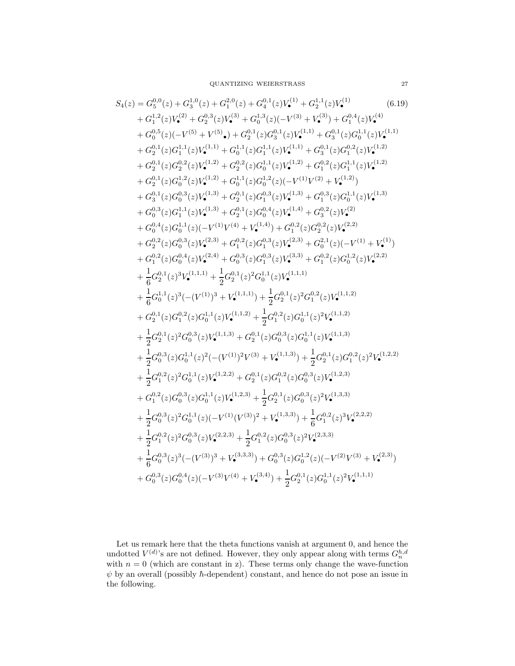$$
S_{4}(z) = G_{5}^{0,0}(z) + G_{3}^{1,0}(z) + G_{4}^{2,0}(z) + G_{4}^{0,1}(z)V_{4}^{1,1}(z)V_{4}^{1}(z)V_{4}^{1}(z)W_{4}^{1}(z)W_{4}^{1}(z)W_{4}^{1}(z)W_{4}^{1}(z)W_{4}^{1}(z)W_{4}^{1}(z)W_{4}^{1}(z)W_{4}^{1}(z)W_{4}^{1}(z)W_{4}^{1}(z)W_{4}^{1}(z)W_{4}^{1}(z)W_{4}^{1}(z)W_{4}^{1}(z)W_{4}^{1}(z)W_{4}^{1}(z)W_{4}^{1}(z)W_{4}^{1}(z)W_{4}^{1}(z)W_{4}^{1}(z)W_{4}^{1}(z)W_{4}^{1}(z)W_{4}^{1}(z)W_{4}^{1}(z)W_{4}^{1}(z)W_{4}^{1}(z)W_{4}^{1}(z)W_{4}^{1}(z)W_{4}^{1}(z)W_{4}^{1}(z)W_{4}^{1}(z)W_{4}^{1}(z)W_{4}^{1}(z)W_{4}^{1}(z)W_{4}^{1}(z)W_{4}^{1}(z)W_{4}^{1}(z)W_{4}^{1}(z)W_{4}^{1}(z)W_{4}^{1}(z)W_{4}^{1}(z)W_{4}^{1}(z)W_{4}^{1}(z)W_{4}^{1}(z)W_{4}^{1}(z)W_{4}^{1}(z)W_{4}^{1}(z)W_{4}^{1}(z)W_{4}^{1}(z)W_{4}^{1}(z)W_{4}^{1}(z)W_{4}^{1}(z)W_{4}^{1}(z)W_{4}^{1}(z)W_{4}^{1}(z)W_{4}^{1}(z)W_{4}^{1}(z)W_{4}^{1}(z)W_{4}^{1}(z)W_{4}^{1}(z)W_{4}^{1}(z)W_{4}^{1}(z)W_{4}^{1}(z)W_{4}^{1}(z)W_{4}^{1}(z)W_{4}^{1}(z)W_{4}^{1}(z)W_{4}^{1}(z)W_{4}^{1}(z)W_{4}^{1}(z)W_{4}^{1}(z)W_{4}^{1}(z)W_{4}^{1}(z)W_{4}^{1}(z)W_{4}^{1}(z)W_{4}
$$

Let us remark here that the theta functions vanish at argument 0, and hence the undotted  $V^{(d)}$ 's are not defined. However, they only appear along with terms  $G_n^{h,d}$  with  $n = 0$  (which are constant in z). These terms only change the wave-function  $\psi$  by an overall (possibly  $\hbar$ -dependent) constant, and hence do not pose an issue in the following.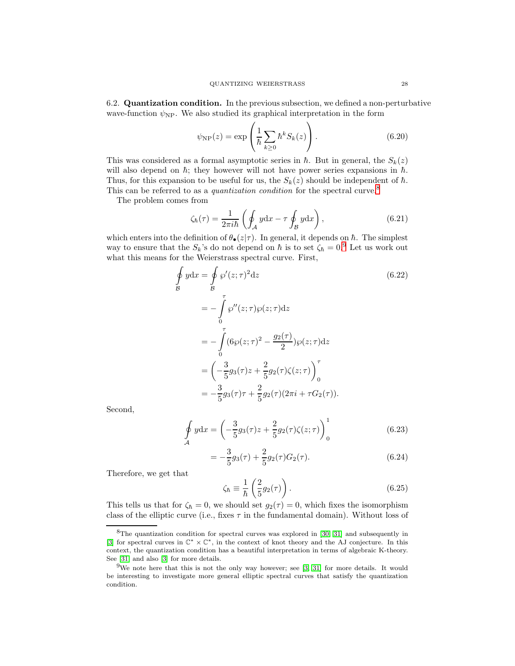6.2. Quantization condition. In the previous subsection, we defined a non-perturbative wave-function  $\psi_{\text{NP}}$ . We also studied its graphical interpretation in the form

$$
\psi_{\rm NP}(z) = \exp\left(\frac{1}{\hbar} \sum_{k\geq 0} \hbar^k S_k(z)\right). \tag{6.20}
$$

This was considered as a formal asymptotic series in  $\hbar$ . But in general, the  $S_k(z)$ will also depend on  $\hbar$ ; they however will not have power series expansions in  $\hbar$ . Thus, for this expansion to be useful for us, the  $S_k(z)$  should be independent of  $\hbar$ . This can be referred to as a *quantization condition* for the spectral curve.<sup>[8](#page-27-0)</sup>

The problem comes from

$$
\zeta_{\hbar}(\tau) = \frac{1}{2\pi i \hbar} \left( \oint_{\mathcal{A}} y \mathrm{d}x - \tau \oint_{\mathcal{B}} y \mathrm{d}x \right),\tag{6.21}
$$

which enters into the definition of  $\theta_{\bullet}(z|\tau)$ . In general, it depends on  $\hbar$ . The simplest way to ensure that the  $S_k$ 's do not depend on  $\hbar$  is to set  $\zeta_{\hbar} = 0$ .<sup>[9](#page-27-1)</sup> Let us work out what this means for the Weierstrass spectral curve. First,

$$
\oint_{\mathcal{B}} y dx = \oint_{\mathcal{B}} \wp'(z; \tau)^2 dz
$$
\n(6.22)\n  
\n
$$
= -\int_{0}^{\tau} \wp''(z; \tau) \wp(z; \tau) dz
$$
\n
$$
= -\int_{0}^{\tau} (6\wp(z; \tau)^2 - \frac{g_2(\tau)}{2}) \wp(z; \tau) dz
$$
\n
$$
= \left(-\frac{3}{5}g_3(\tau)z + \frac{2}{5}g_2(\tau)\zeta(z; \tau)\right)_{0}^{\tau}
$$
\n
$$
= -\frac{3}{5}g_3(\tau)z + \frac{2}{5}g_2(\tau)(2\pi i + \tau G_2(\tau)).
$$

Second,

$$
\oint_{\mathcal{A}} y \, dx = \left( -\frac{3}{5} g_3(\tau) z + \frac{2}{5} g_2(\tau) \zeta(z; \tau) \right)_0^1 \tag{6.23}
$$

$$
=-\frac{3}{5}g_3(\tau)+\frac{2}{5}g_2(\tau)G_2(\tau).
$$
\n(6.24)

Therefore, we get that

$$
\zeta_{\hbar} \equiv \frac{1}{\hbar} \left( \frac{2}{5} g_2(\tau) \right). \tag{6.25}
$$

This tells us that for  $\zeta_{\hbar} = 0$ , we should set  $g_2(\tau) = 0$ , which fixes the isomorphism class of the elliptic curve (i.e., fixes  $\tau$  in the fundamental domain). Without loss of

<span id="page-27-0"></span> ${}^{8}$ The quantization condition for spectral curves was explored in [\[30,](#page-35-21) [31\]](#page-35-22) and subsequently in [\[3\]](#page-34-0) for spectral curves in C<sup>∗</sup> × C∗, in the context of knot theory and the AJ conjecture. In this context, the quantization condition has a beautiful interpretation in terms of algebraic K-theory. See [\[31\]](#page-35-22) and also [\[3\]](#page-34-0) for more details.

<span id="page-27-1"></span> $9$ We note here that this is not the only way however; see [\[3,](#page-34-0) [31\]](#page-35-22) for more details. It would be interesting to investigate more general elliptic spectral curves that satisfy the quantization condition.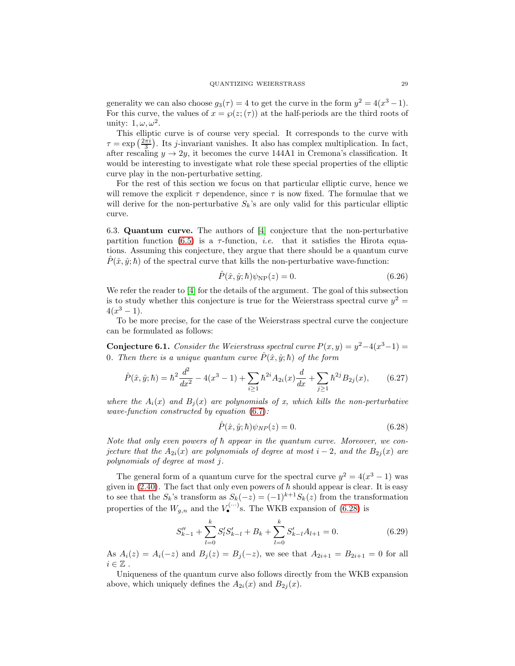generality we can also choose  $g_3(\tau) = 4$  to get the curve in the form  $y^2 = 4(x^3 - 1)$ . For this curve, the values of  $x = \wp(z; (\tau))$  at the half-periods are the third roots of unity:  $1, \omega, \omega^2$ .

This elliptic curve is of course very special. It corresponds to the curve with  $\tau = \exp\left(\frac{2\pi i}{3}\right)$ . Its *j*-invariant vanishes. It also has complex multiplication. In fact, after rescaling  $y \to 2y$ , it becomes the curve 144A1 in Cremona's classification. It would be interesting to investigate what role these special properties of the elliptic curve play in the non-perturbative setting.

For the rest of this section we focus on that particular elliptic curve, hence we will remove the explicit  $\tau$  dependence, since  $\tau$  is now fixed. The formulae that we will derive for the non-perturbative  $S_k$ 's are only valid for this particular elliptic curve.

6.3. Quantum curve. The authors of [\[4\]](#page-34-7) conjecture that the non-perturbative partition function [\(6.5\)](#page-23-1) is a  $\tau$ -function, *i.e.* that it satisfies the Hirota equations. Assuming this conjecture, they argue that there should be a quantum curve  $P(\hat{x}, \hat{y}; \hbar)$  of the spectral curve that kills the non-perturbative wave-function:

$$
\hat{P}(\hat{x}, \hat{y}; \hbar)\psi_{\rm NP}(z) = 0.
$$
\n(6.26)

We refer the reader to [\[4\]](#page-34-7) for the details of the argument. The goal of this subsection is to study whether this conjecture is true for the Weierstrass spectral curve  $y^2 =$  $4(x^3-1)$ .

To be more precise, for the case of the Weierstrass spectral curve the conjecture can be formulated as follows:

<span id="page-28-2"></span>**Conjecture 6.1.** Consider the Weierstrass spectral curve  $P(x, y) = y^2 - 4(x^3 - 1) = 0$ 0. Then there is a unique quantum curve  $\hat{P}(\hat{x}, \hat{y}; \hbar)$  of the form

$$
\hat{P}(\hat{x}, \hat{y}; \hbar) = \hbar^2 \frac{d^2}{dx^2} - 4(x^3 - 1) + \sum_{i \ge 1} \hbar^{2i} A_{2i}(x) \frac{d}{dx} + \sum_{j \ge 1} \hbar^{2j} B_{2j}(x), \qquad (6.27)
$$

where the  $A_i(x)$  and  $B_j(x)$  are polynomials of x, which kills the non-perturbative wave-function constructed by equation [\(6.7\)](#page-24-1):

<span id="page-28-1"></span><span id="page-28-0"></span>
$$
\hat{P}(\hat{x}, \hat{y}; \hbar)\psi_{NP}(z) = 0.
$$
\n(6.28)

Note that only even powers of  $\hbar$  appear in the quantum curve. Moreover, we conjecture that the  $A_{2i}(x)$  are polynomials of degree at most  $i-2$ , and the  $B_{2i}(x)$  are polynomials of degree at most j.

The general form of a quantum curve for the spectral curve  $y^2 = 4(x^3 - 1)$  was given in [\(2.40\)](#page-8-2). The fact that only even powers of  $\hbar$  should appear is clear. It is easy to see that the  $S_k$ 's transform as  $S_k(-z) = (-1)^{k+1}S_k(z)$  from the transformation properties of the  $W_{g,n}$  and the  $V_{\bullet}^{(\cdots)}$ s. The WKB expansion of [\(6.28\)](#page-28-0) is

$$
S_{k-1}'' + \sum_{l=0}^{k} S_l' S_{k-l}' + B_k + \sum_{l=0}^{k} S_{k-l}' A_{l+1} = 0.
$$
 (6.29)

As  $A_i(z) = A_i(-z)$  and  $B_j(z) = B_j(-z)$ , we see that  $A_{2i+1} = B_{2i+1} = 0$  for all  $i\in\mathbb{Z}$ .

Uniqueness of the quantum curve also follows directly from the WKB expansion above, which uniquely defines the  $A_{2i}(x)$  and  $B_{2i}(x)$ .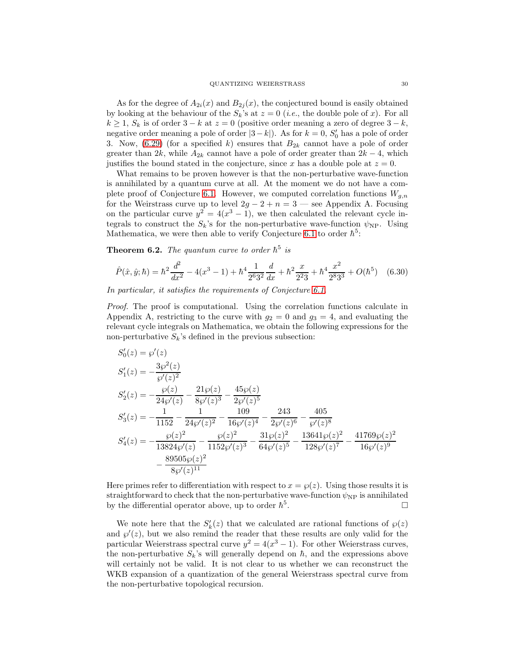As for the degree of  $A_{2i}(x)$  and  $B_{2i}(x)$ , the conjectured bound is easily obtained by looking at the behaviour of the  $S_k$ 's at  $z = 0$  (*i.e.*, the double pole of x). For all  $k \geq 1$ ,  $S_k$  is of order  $3 - k$  at  $z = 0$  (positive order meaning a zero of degree  $3 - k$ , negative order meaning a pole of order  $|3-k|$ ). As for  $k = 0$ ,  $S'_0$  has a pole of order 3. Now,  $(6.29)$  (for a specified k) ensures that  $B_{2k}$  cannot have a pole of order greater than 2k, while  $A_{2k}$  cannot have a pole of order greater than  $2k - 4$ , which justifies the bound stated in the conjecture, since x has a double pole at  $z = 0$ .

What remains to be proven however is that the non-perturbative wave-function is annihilated by a quantum curve at all. At the moment we do not have a com-plete proof of Conjecture [6.1.](#page-28-2) However, we computed correlation functions  $W_{g,n}$ for the Weirstrass curve up to level  $2g - 2 + n = 3$  — see Appendix A. Focusing on the particular curve  $y^2 = 4(x^3 - 1)$ , we then calculated the relevant cycle integrals to construct the  $S_k$ 's for the non-perturbative wave-function  $\psi_{\text{NP}}$ . Using Mathematica, we were then able to verify Conjecture [6.1](#page-28-2) to order  $\hbar^5$ :

**Theorem 6.2.** The quantum curve to order  $\hbar^5$  is

$$
\hat{P}(\hat{x}, \hat{y}; \hbar) = \hbar^2 \frac{d^2}{dx^2} - 4(x^3 - 1) + \hbar^4 \frac{1}{2^6 3^2} \frac{d}{dx} + \hbar^2 \frac{x}{2^2 3} + \hbar^4 \frac{x^2}{2^8 3^3} + O(\hbar^5) \quad (6.30)
$$

In particular, it satisfies the requirements of Conjecture [6.1.](#page-28-2)

Proof. The proof is computational. Using the correlation functions calculate in Appendix A, restricting to the curve with  $g_2 = 0$  and  $g_3 = 4$ , and evaluating the relevant cycle integrals on Mathematica, we obtain the following expressions for the non-perturbative  $S_k$ 's defined in the previous subsection:

$$
S'_0(z) = \wp'(z)
$$
  
\n
$$
S'_1(z) = -\frac{3\wp^2(z)}{\wp'(z)^2}
$$
  
\n
$$
S'_2(z) = -\frac{\wp(z)}{24\wp'(z)} - \frac{21\wp(z)}{8\wp'(z)^3} - \frac{45\wp(z)}{2\wp'(z)^5}
$$
  
\n
$$
S'_3(z) = -\frac{1}{1152} - \frac{1}{24\wp'(z)^2} - \frac{109}{16\wp'(z)^4} - \frac{243}{2\wp'(z)^6} - \frac{405}{\wp'(z)^8}
$$
  
\n
$$
S'_4(z) = -\frac{\wp(z)^2}{13824\wp'(z)} - \frac{\wp(z)^2}{1152\wp'(z)^3} - \frac{31\wp(z)^2}{64\wp'(z)^5} - \frac{13641\wp(z)^2}{128\wp'(z)^7} - \frac{41769\wp(z)^2}{16\wp'(z)^9}
$$
  
\n
$$
-\frac{89505\wp(z)^2}{8\wp'(z)^{11}}
$$

Here primes refer to differentiation with respect to  $x = \wp(z)$ . Using those results it is straightforward to check that the non-perturbative wave-function  $\psi_{\rm NP}$  is annihilated by the differential operator above, up to order  $\hbar^5$ . В последните последните под на приема в село в село в село в село в село в село в село в село в село в село <br>В село в село в село в село в село в село в село в село в село в село в село в село в село в село в село в сел

We note here that the  $S'_k(z)$  that we calculated are rational functions of  $\wp(z)$ and  $\wp'(z)$ , but we also remind the reader that these results are only valid for the particular Weierstrass spectral curve  $y^2 = 4(x^3 - 1)$ . For other Weierstrass curves, the non-perturbative  $S_k$ 's will generally depend on  $\hbar$ , and the expressions above will certainly not be valid. It is not clear to us whether we can reconstruct the WKB expansion of a quantization of the general Weierstrass spectral curve from the non-perturbative topological recursion.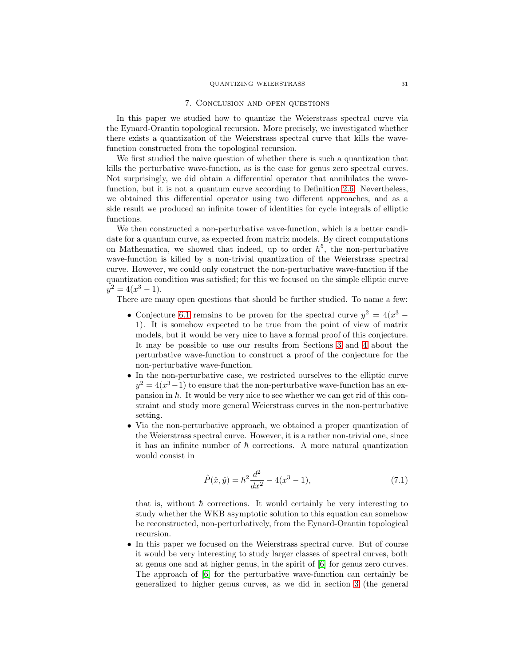#### 7. Conclusion and open questions

<span id="page-30-0"></span>In this paper we studied how to quantize the Weierstrass spectral curve via the Eynard-Orantin topological recursion. More precisely, we investigated whether there exists a quantization of the Weierstrass spectral curve that kills the wavefunction constructed from the topological recursion.

We first studied the naive question of whether there is such a quantization that kills the perturbative wave-function, as is the case for genus zero spectral curves. Not surprisingly, we did obtain a differential operator that annihilates the wavefunction, but it is not a quantum curve according to Definition [2.6.](#page-8-1) Nevertheless, we obtained this differential operator using two different approaches, and as a side result we produced an infinite tower of identities for cycle integrals of elliptic functions.

We then constructed a non-perturbative wave-function, which is a better candidate for a quantum curve, as expected from matrix models. By direct computations on Mathematica, we showed that indeed, up to order  $\hbar^5$ , the non-perturbative wave-function is killed by a non-trivial quantization of the Weierstrass spectral curve. However, we could only construct the non-perturbative wave-function if the quantization condition was satisfied; for this we focused on the simple elliptic curve  $y^2 = 4(x^3 - 1).$ 

There are many open questions that should be further studied. To name a few:

- Conjecture [6.1](#page-28-2) remains to be proven for the spectral curve  $y^2 = 4(x^3 -$ 1). It is somehow expected to be true from the point of view of matrix models, but it would be very nice to have a formal proof of this conjecture. It may be possible to use our results from Sections [3](#page-8-0) and [4](#page-16-0) about the perturbative wave-function to construct a proof of the conjecture for the non-perturbative wave-function.
- In the non-perturbative case, we restricted ourselves to the elliptic curve  $y^2 = 4(x^3 - 1)$  to ensure that the non-perturbative wave-function has an expansion in  $\hbar$ . It would be very nice to see whether we can get rid of this constraint and study more general Weierstrass curves in the non-perturbative setting.
- Via the non-perturbative approach, we obtained a proper quantization of the Weierstrass spectral curve. However, it is a rather non-trivial one, since it has an infinite number of  $\hbar$  corrections. A more natural quantization would consist in

$$
\hat{P}(\hat{x}, \hat{y}) = \hbar^2 \frac{d^2}{dx^2} - 4(x^3 - 1),\tag{7.1}
$$

that is, without  $\hbar$  corrections. It would certainly be very interesting to study whether the WKB asymptotic solution to this equation can somehow be reconstructed, non-perturbatively, from the Eynard-Orantin topological recursion.

• In this paper we focused on the Weierstrass spectral curve. But of course it would be very interesting to study larger classes of spectral curves, both at genus one and at higher genus, in the spirit of [\[6\]](#page-34-8) for genus zero curves. The approach of [\[6\]](#page-34-8) for the perturbative wave-function can certainly be generalized to higher genus curves, as we did in section [3](#page-8-0) (the general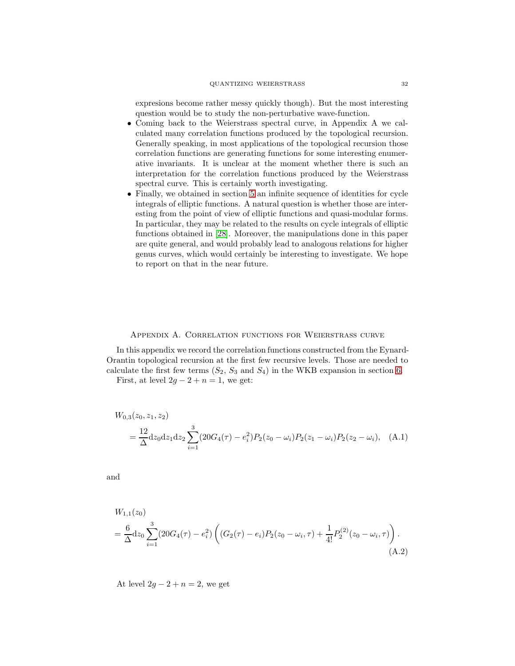expresions become rather messy quickly though). But the most interesting question would be to study the non-perturbative wave-function.

- Coming back to the Weierstrass spectral curve, in Appendix A we calculated many correlation functions produced by the topological recursion. Generally speaking, in most applications of the topological recursion those correlation functions are generating functions for some interesting enumerative invariants. It is unclear at the moment whether there is such an interpretation for the correlation functions produced by the Weierstrass spectral curve. This is certainly worth investigating.
- Finally, we obtained in section [5](#page-21-0) an infinite sequence of identities for cycle integrals of elliptic functions. A natural question is whether those are interesting from the point of view of elliptic functions and quasi-modular forms. In particular, they may be related to the results on cycle integrals of elliptic functions obtained in [\[28\]](#page-35-19). Moreover, the manipulations done in this paper are quite general, and would probably lead to analogous relations for higher genus curves, which would certainly be interesting to investigate. We hope to report on that in the near future.

# Appendix A. Correlation functions for Weierstrass curve

<span id="page-31-0"></span>In this appendix we record the correlation functions constructed from the Eynard-Orantin topological recursion at the first few recursive levels. Those are needed to calculate the first few terms  $(S_2, S_3 \text{ and } S_4)$  in the WKB expansion in section [6.](#page-22-0)

First, at level  $2g - 2 + n = 1$ , we get:

$$
W_{0,3}(z_0, z_1, z_2)
$$
  
=  $\frac{12}{\Delta} dz_0 dz_1 dz_2 \sum_{i=1}^3 (20G_4(\tau) - e_i^2) P_2(z_0 - \omega_i) P_2(z_1 - \omega_i) P_2(z_2 - \omega_i),$  (A.1)

and

 $\mathbf{H}^T$  ( )

$$
W_{1,1}(z_0)
$$
  
=  $\frac{6}{\Delta} dz_0 \sum_{i=1}^3 (20G_4(\tau) - e_i^2) \left( (G_2(\tau) - e_i) P_2(z_0 - \omega_i, \tau) + \frac{1}{4!} P_2^{(2)}(z_0 - \omega_i, \tau) \right).$   
(A.2)

At level  $2g - 2 + n = 2$ , we get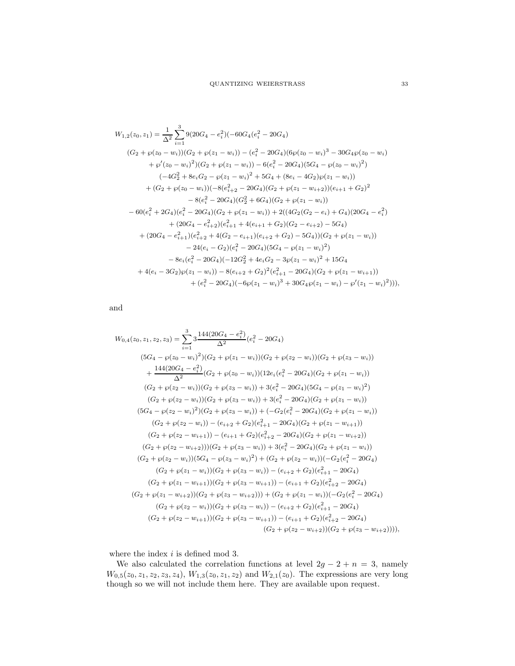$$
W_{1,2}(z_0, z_1) = \frac{1}{\Delta^2} \sum_{i=1}^3 9(20G_4 - e_i^2)(-60G_4(e_i^2 - 20G_4)
$$
  
\n
$$
(G_2 + \wp(z_0 - w_i))(G_2 + \wp(z_1 - w_i)) - (e_i^2 - 20G_4)(6\wp(z_0 - w_i)^3 - 30G_4\wp(z_0 - w_i)
$$
  
\n
$$
+ \wp'(z_0 - w_i)^2)(G_2 + \wp(z_1 - w_i)) - 6(e_i^2 - 20G_4)(5G_4 - \wp(z_0 - w_i)^2)
$$
  
\n
$$
(-4G_2^2 + 8e_iG_2 - \wp(z_1 - w_i)^2 + 5G_4 + (8e_i - 4G_2)\wp(z_1 - w_i))
$$
  
\n
$$
+ (G_2 + \wp(z_0 - w_i))(-8(e_{i+2}^2 - 20G_4)(G_2 + \wp(z_1 - w_{i+2}))(e_{i+1} + G_2)^2 - 8(e_i^2 - 20G_4)(G_2^2 + 6G_4)(G_2 + \wp(z_1 - w_i))
$$
  
\n
$$
- 60(e_i^2 + 2G_4)(e_i^2 - 20G_4)(G_2 + \wp(z_1 - w_i)) + 2((4G_2(G_2 - e_i) + G_4)(20G_4 - e_i^2) + (20G_4 - e_{i+2}^2)(e_{i+1}^2 + 4(e_{i+1} + G_2)(G_2 - e_{i+2}) - 5G_4)
$$
  
\n
$$
+ (20G_4 - e_{i+1}^2)(e_{i+2}^2 + 4(G_2 - e_{i+1})(e_{i+2} + G_2) - 5G_4)(G_2 + \wp(z_1 - w_i)) - 24(e_i - G_2)(e_i^2 - 20G_4)(5G_4 - \wp(z_1 - w_i)^2)
$$
  
\n
$$
- 8e_i(e_i^2 - 20G_4)(-12G_2^2 + 4e_iG_2 - 3\wp(z_1 - w_i)^2 + 15G_4
$$
  
\n
$$
+ 4(e_i - 3G_2)\wp(z_1 - w_i) - 8(e_{i+2} + G_2)^2(e
$$

and

$$
W_{0,4}(z_0, z_1, z_2, z_3) = \sum_{i=1}^{3} 3 \frac{144(20G_4 - e_i^2)}{\Delta^2} (e_i^2 - 20G_4)
$$
  
\n
$$
(5G_4 - \wp(z_0 - w_i)^2)(G_2 + \wp(z_1 - w_i))(G_2 + \wp(z_2 - w_i))(G_2 + \wp(z_3 - w_i))
$$
  
\n
$$
+ \frac{144(20G_4 - e_i^2)}{\Delta^2} (G_2 + \wp(z_0 - w_i))(12e_i(e_i^2 - 20G_4)(G_2 + \wp(z_1 - w_i))
$$
  
\n
$$
(G_2 + \wp(z_2 - w_i))(G_2 + \wp(z_3 - w_i)) + 3(e_i^2 - 20G_4)(5G_4 - \wp(z_1 - w_i)^2)
$$
  
\n
$$
(G_2 + \wp(z_2 - w_i))(G_2 + \wp(z_3 - w_i)) + 3(e_i^2 - 20G_4)(G_2 + \wp(z_1 - w_i))
$$
  
\n
$$
(5G_4 - \wp(z_2 - w_i)^2)(G_2 + \wp(z_3 - w_i)) + (-G_2(e_i^2 - 20G_4)(G_2 + \wp(z_1 - w_i)))
$$
  
\n
$$
(G_2 + \wp(z_2 - w_i)) - (e_{i+2} + G_2)(e_{i+1}^2 - 20G_4)(G_2 + \wp(z_1 - w_{i+1}))
$$
  
\n
$$
(G_2 + \wp(z_2 - w_{i+1})) - (e_{i+1} + G_2)(e_{i+2}^2 - 20G_4)(G_2 + \wp(z_1 - w_{i+2}))
$$
  
\n
$$
(G_2 + \wp(z_2 - w_{i+2})))(G_2 + \wp(z_3 - w_i)) + 3(e_i^2 - 20G_4)(G_2 + \wp(z_1 - w_i))
$$
  
\n
$$
(G_2 + \wp(z_2 - w_i))(5G_4 - \wp(z_3 - w_i)^2) + (G_2 + \wp(z_2 - w_i))(-G_2(e_i^2 - 20G_4)
$$
  
\n
$$
(G_2 + \wp(z_1 - w_{i+1}))(G_2 + \wp(z_3 - w_i)) - (e_{i+2} + G_2
$$

where the index  $i$  is defined mod 3.

We also calculated the correlation functions at level  $2g - 2 + n = 3$ , namely  $W_{0,5}(z_0, z_1, z_2, z_3, z_4), W_{1,3}(z_0, z_1, z_2)$  and  $W_{2,1}(z_0)$ . The expressions are very long though so we will not include them here. They are available upon request.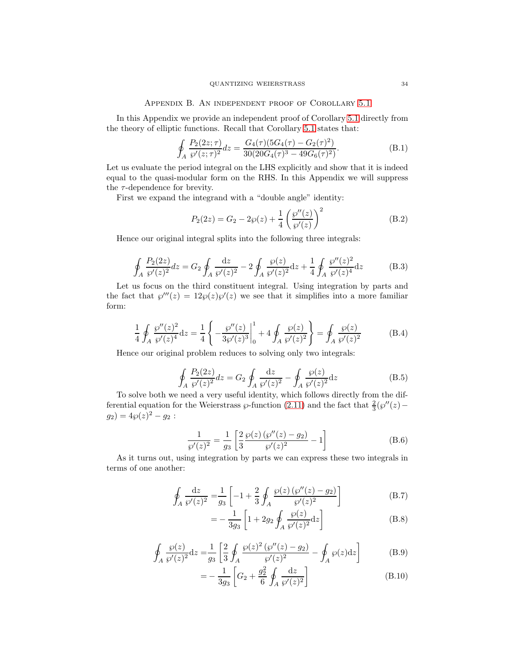### Appendix B. An independent proof of Corollary [5.1](#page-21-1)

<span id="page-33-0"></span>In this Appendix we provide an independent proof of Corollary [5.1](#page-21-1) directly from the theory of elliptic functions. Recall that Corollary [5.1](#page-21-1) states that:

$$
\oint_{A} \frac{P_2(2z;\tau)}{\wp'(z;\tau)^2} dz = \frac{G_4(\tau)(5G_4(\tau) - G_2(\tau)^2)}{30(20G_4(\tau)^3 - 49G_6(\tau)^2)}.
$$
\n(B.1)

Let us evaluate the period integral on the LHS explicitly and show that it is indeed equal to the quasi-modular form on the RHS. In this Appendix we will suppress the  $\tau$ -dependence for brevity.

First we expand the integrand with a "double angle" identity:

$$
P_2(2z) = G_2 - 2\wp(z) + \frac{1}{4} \left( \frac{\wp''(z)}{\wp'(z)} \right)^2
$$
 (B.2)

Hence our original integral splits into the following three integrals:

$$
\oint_{A} \frac{P_2(2z)}{\wp'(z)^2} dz = G_2 \oint_{A} \frac{dz}{\wp'(z)^2} - 2 \oint_{A} \frac{\wp(z)}{\wp'(z)^2} dz + \frac{1}{4} \oint_{A} \frac{\wp''(z)^2}{\wp'(z)^4} dz
$$
(B.3)

Let us focus on the third constituent integral. Using integration by parts and the fact that  $\wp'''(z) = 12\wp(z)\wp'(z)$  we see that it simplifies into a more familiar form:

$$
\frac{1}{4} \oint_A \frac{\wp''(z)^2}{\wp'(z)^4} dz = \frac{1}{4} \left\{ -\frac{\wp''(z)}{3\wp'(z)^3} \Big|_0^1 + 4 \oint_A \frac{\wp(z)}{\wp'(z)^2} \right\} = \oint_A \frac{\wp(z)}{\wp'(z)^2}
$$
(B.4)

Hence our original problem reduces to solving only two integrals:

<span id="page-33-3"></span>
$$
\oint_{A} \frac{P_2(2z)}{\wp'(z)^2} dz = G_2 \oint_{A} \frac{\mathrm{d}z}{\wp'(z)^2} - \oint_{A} \frac{\wp(z)}{\wp'(z)^2} \mathrm{d}z \tag{B.5}
$$

To solve both we need a very useful identity, which follows directly from the differential equation for the Weierstrass  $\wp$ -function [\(2.11\)](#page-4-1) and the fact that  $\frac{2}{3}(\wp''(z)$  $g_2) = 4\wp(z)^2 - g_2$ :

$$
\frac{1}{\wp'(z)^2} = \frac{1}{g_3} \left[ \frac{2}{3} \frac{\wp(z) \left( \wp''(z) - g_2 \right)}{\wp'(z)^2} - 1 \right]
$$
(B.6)

As it turns out, using integration by parts we can express these two integrals in terms of one another:

$$
\oint_{A} \frac{\mathrm{d}z}{\wp'(z)^2} = \frac{1}{g_3} \left[ -1 + \frac{2}{3} \oint_{A} \frac{\wp(z) \left( \wp''(z) - g_2 \right)}{\wp'(z)^2} \right] \tag{B.7}
$$

<span id="page-33-2"></span><span id="page-33-1"></span>
$$
= -\frac{1}{3g_3} \left[ 1 + 2g_2 \oint_A \frac{\wp(z)}{\wp'(z)^2} dz \right]
$$
 (B.8)

$$
\oint_{A} \frac{\wp(z)}{\wp'(z)^2} dz = \frac{1}{g_3} \left[ \frac{2}{3} \oint_{A} \frac{\wp(z)^2 (\wp''(z) - g_2)}{\wp'(z)^2} - \oint_{A} \wp(z) dz \right]
$$
(B.9)

$$
= -\frac{1}{3g_3} \left[ G_2 + \frac{g_2^2}{6} \oint_A \frac{\mathrm{d}z}{\wp'(z)^2} \right] \tag{B.10}
$$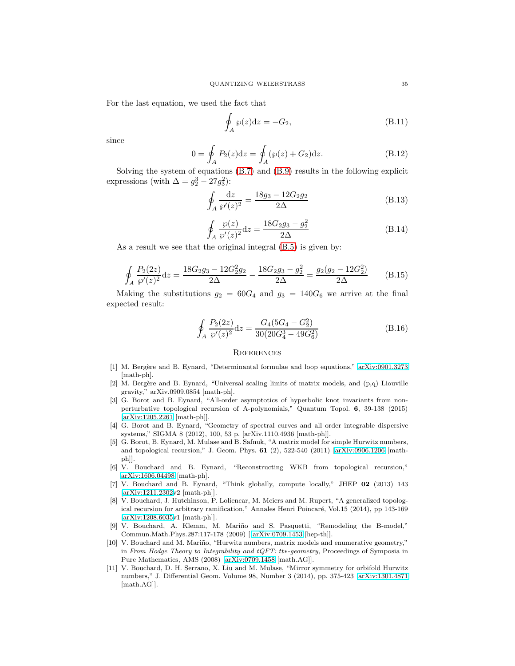For the last equation, we used the fact that

$$
\oint_{A} \wp(z)dz = -G_2,\tag{B.11}
$$

since

$$
0 = \oint_{A} P_2(z)dz = \oint_{A} (\wp(z) + G_2)dz.
$$
 (B.12)

Solving the system of equations [\(B.7\)](#page-33-1) and [\(B.9\)](#page-33-2) results in the following explicit expressions (with  $\Delta = g_2^3 - 27g_3^2$ ):

$$
\oint_{A} \frac{\mathrm{d}z}{\wp'(z)^2} = \frac{18g_3 - 12G_2g_2}{2\Delta} \tag{B.13}
$$

$$
\oint_{A} \frac{\wp(z)}{\wp'(z)^2} dz = \frac{18G_2 g_3 - g_2^2}{2\Delta} \tag{B.14}
$$

As a result we see that the original integral [\(B.5\)](#page-33-3) is given by:

$$
\oint_{A} \frac{P_2(2z)}{\wp'(z)^2} dz = \frac{18G_2 g_3 - 12G_2^2 g_2}{2\Delta} - \frac{18G_2 g_3 - g_2^2}{2\Delta} = \frac{g_2(g_2 - 12G_2^2)}{2\Delta}
$$
(B.15)

Making the substitutions  $g_2 = 60G_4$  and  $g_3 = 140G_6$  we arrive at the final expected result:

$$
\oint_{A} \frac{P_2(2z)}{\wp'(z)^2} dz = \frac{G_4(5G_4 - G_2^2)}{30(20G_4^3 - 49G_6^2)}
$$
\n(B.16)

#### **REFERENCES**

- <span id="page-34-5"></span>[1] M. Bergère and B. Eynard, "Determinantal formulae and loop equations," [arXiv:0901.3273](http://arxiv.org/abs/0901.3273) [math-ph].
- <span id="page-34-6"></span>[2] M. Berg`ere and B. Eynard, "Universal scaling limits of matrix models, and (p,q) Liouville gravity," arXiv.0909.0854 [math-ph].
- <span id="page-34-0"></span>[3] G. Borot and B. Eynard, "All-order asymptotics of hyperbolic knot invariants from nonperturbative topological recursion of A-polynomials," Quantum Topol. 6, 39-138 (2015) [\[arXiv:1205.2261](http://arxiv.org/abs/1205.2261) [math-ph]].
- <span id="page-34-7"></span>[4] G. Borot and B. Eynard, "Geometry of spectral curves and all order integrable dispersive systems," SIGMA 8 (2012), 100, 53 p. [arXiv.1110.4936 [math-ph]].
- <span id="page-34-1"></span>[5] G. Borot, B. Eynard, M. Mulase and B. Safnuk, "A matrix model for simple Hurwitz numbers, and topological recursion," J. Geom. Phys.  $61$  (2), 522-540 (2011) [\[arXiv:0906.1206](http://arxiv.org/abs/0906.1206) [mathph]].
- <span id="page-34-8"></span>[6] V. Bouchard and B. Eynard, "Reconstructing WKB from topological recursion," [arXiv:1606.04498](http://arxiv.org/abs/1606.04498) [math-ph].
- <span id="page-34-9"></span>[7] V. Bouchard and B. Eynard, "Think globally, compute locally," JHEP 02 (2013) 143 [\[arXiv:1211.2302v](http://arxiv.org/abs/1211.2302)2 [math-ph]].
- <span id="page-34-10"></span>[8] V. Bouchard, J. Hutchinson, P. Loliencar, M. Meiers and M. Rupert, "A generalized topological recursion for arbitrary ramification," Annales Henri Poincaré, Vol.15 (2014), pp 143-169 [\[arXiv:1208.6035v](http://arxiv.org/abs/1208.6035)1 [math-ph]].
- <span id="page-34-2"></span>[9] V. Bouchard, A. Klemm, M. Mariño and S. Pasquetti, "Remodeling the B-model," Commun.Math.Phys.287:117-178 (2009)[ [arXiv:0709.1453](http://arxiv.org/abs/0709.1453) [hep-th]].
- <span id="page-34-3"></span>[10] V. Bouchard and M. Mariño, "Hurwitz numbers, matrix models and enumerative geometry," in From Hodge Theory to Integrability and tQFT: tt∗-geometry, Proceedings of Symposia in Pure Mathematics, AMS (2008) [\[arXiv:0709.1458](http://arxiv.org/abs/0709.1458) [math.AG]].
- <span id="page-34-4"></span>[11] V. Bouchard, D. H. Serrano, X. Liu and M. Mulase, "Mirror symmetry for orbifold Hurwitz numbers," J. Differential Geom. Volume 98, Number 3 (2014), pp. 375-423 [\[arXiv:1301.4871](http://arxiv.org/abs/1301.4871) [math.AG]].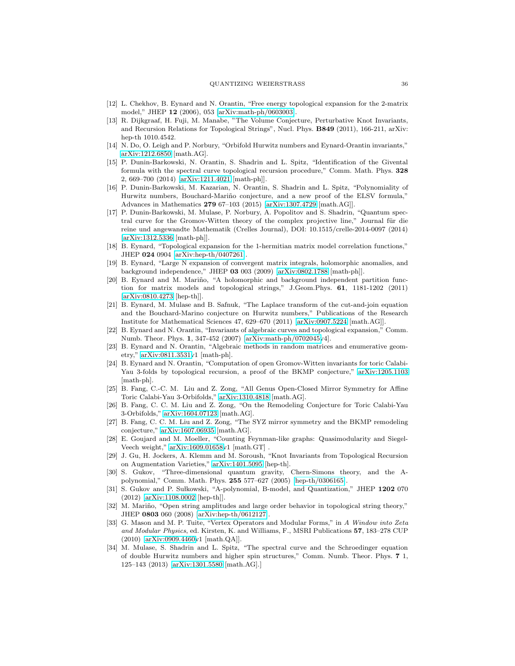- <span id="page-35-15"></span>[12] L. Chekhov, B. Eynard and N. Orantin, "Free energy topological expansion for the 2-matrix model," JHEP 12 (2006), 053 [\[arXiv:math-ph/0603003\]](http://arxiv.org/abs/math-ph/0603003).
- <span id="page-35-2"></span>[13] R. Dijkgraaf, H. Fuji, M. Manabe, "The Volume Conjecture, Perturbative Knot Invariants, and Recursion Relations for Topological Strings", Nucl. Phys. B849 (2011), 166-211, arXiv: hep-th 1010.4542.
- <span id="page-35-3"></span>[14] N. Do, O. Leigh and P. Norbury, "Orbifold Hurwitz numbers and Eynard-Orantin invariants," [arXiv:1212.6850](http://arxiv.org/abs/1212.6850) [math.AG].
- <span id="page-35-4"></span>[15] P. Dunin-Barkowski, N. Orantin, S. Shadrin and L. Spitz, "Identification of the Givental formula with the spectral curve topological recursion procedure," Comm. Math. Phys. 328 2, 669–700 (2014) [\[arXiv:1211.4021](http://arxiv.org/abs/1211.4021) [math-ph]].
- <span id="page-35-5"></span>[16] P. Dunin-Barkowski, M. Kazarian, N. Orantin, S. Shadrin and L. Spitz, "Polynomiality of Hurwitz numbers, Bouchard-Mariño conjecture, and a new proof of the ELSV formula," Advances in Mathematics 279 67–103 (2015) [\[arXiv:1307.4729](http://arxiv.org/abs/1307.4729) [math.AG]].
- <span id="page-35-6"></span>[17] P. Dunin-Barkowski, M. Mulase, P. Norbury, A. Popolitov and S. Shadrin, "Quantum spectral curve for the Gromov-Witten theory of the complex projective line," Journal für die reine und angewandte Mathematik (Crelles Journal), DOI: 10.1515/crelle-2014-0097 (2014) [\[arXiv:1312.5336](http://arxiv.org/abs/1312.5336) [math-ph]].
- <span id="page-35-16"></span>[18] B. Eynard, "Topological expansion for the 1-hermitian matrix model correlation functions," JHEP 024 0904 [\[arXiv:hep-th/0407261\]](http://arxiv.org/abs/hep-th/0407261).
- <span id="page-35-17"></span>[19] B. Eynard, "Large N expansion of convergent matrix integrals, holomorphic anomalies, and background independence," JHEP 03 003 (2009) [\[arXiv:0802.1788](http://arxiv.org/abs/0802.1788) [math-ph]].
- <span id="page-35-18"></span>[20] B. Eynard and M. Mariño, "A holomorphic and background independent partition function for matrix models and topological strings," J.Geom.Phys. 61, 1181-1202 (2011) [\[arXiv:0810.4273](http://arxiv.org/abs/0810.4273) [hep-th]].
- <span id="page-35-7"></span>[21] B. Eynard, M. Mulase and B. Safnuk, "The Laplace transform of the cut-and-join equation and the Bouchard-Marino conjecture on Hurwitz numbers," Publications of the Research Institute for Mathematical Sciences 47, 629–670 (2011) [\[arXiv:0907.5224](http://arxiv.org/abs/0907.5224) [math.AG]].
- <span id="page-35-0"></span>[22] B. Eynard and N. Orantin, "Invariants of algebraic curves and topological expansion," Comm. Numb. Theor. Phys. 1, 347-452 (2007) [\[arXiv:math-ph/0702045v](http://arxiv.org/abs/math-ph/0702045)4].
- <span id="page-35-1"></span>[23] B. Eynard and N. Orantin, "Algebraic methods in random matrices and enumerative geometry," [arXiv:0811.3531v](http://arxiv.org/abs/0811.3531)1 [math-ph].
- <span id="page-35-8"></span>[24] B. Eynard and N. Orantin, "Computation of open Gromov-Witten invariants for toric Calabi-Yau 3-folds by topological recursion, a proof of the BKMP conjecture," [arXiv:1205.1103](http://arxiv.org/abs/1205.1103) [math-ph].
- <span id="page-35-9"></span>[25] B. Fang, C.-C. M. Liu and Z. Zong, "All Genus Open-Closed Mirror Symmetry for Affine Toric Calabi-Yau 3-Orbifolds," [arXiv:1310.4818](http://arxiv.org/abs/1310.4818) [math.AG].
- <span id="page-35-10"></span>[26] B. Fang, C. C. M. Liu and Z. Zong, "On the Remodeling Conjecture for Toric Calabi-Yau 3-Orbifolds," [arXiv:1604.07123](http://arxiv.org/abs/1604.07123) [math.AG].
- <span id="page-35-11"></span>[27] B. Fang, C. C. M. Liu and Z. Zong, "The SYZ mirror symmetry and the BKMP remodeling conjecture," [arXiv:1607.06935](http://arxiv.org/abs/1607.06935) [math.AG].
- <span id="page-35-19"></span>[28] E. Goujard and M. Moeller, "Counting Feynman-like graphs: Quasimodularity and Siegel-Veech weight," [arXiv:1609.01658v](http://arxiv.org/abs/1609.01658)1 [math.GT] .
- <span id="page-35-12"></span>[29] J. Gu, H. Jockers, A. Klemm and M. Soroush, "Knot Invariants from Topological Recursion on Augmentation Varieties," [arXiv:1401.5095](http://arxiv.org/abs/1401.5095) [hep-th].
- <span id="page-35-21"></span>[30] S. Gukov, "Three-dimensional quantum gravity, Chern-Simons theory, and the Apolynomial," Comm. Math. Phys. 255 577–627 (2005) [\[hep-th/0306165\]](http://arxiv.org/abs/hep-th/0306165).
- <span id="page-35-22"></span>[31] S. Gukov and P. Sułkowski, "A-polynomial, B-model, and Quantization," JHEP 1202 070 (2012) [\[arXiv:1108.0002](http://arxiv.org/abs/1108.0002) [hep-th]].
- <span id="page-35-13"></span>[32] M. Mariño, "Open string amplitudes and large order behavior in topological string theory," JHEP 0803 060 (2008) [\[arXiv:hep-th/0612127\]](http://arxiv.org/abs/hep-th/0612127).
- <span id="page-35-20"></span>[33] G. Mason and M. P. Tuite, "Vertex Operators and Modular Forms," in A Window into Zeta and Modular Physics, ed. Kirsten, K. and Williams, F., MSRI Publications 57, 183–278 CUP (2010) [\[arXiv:0909.4460v](http://arxiv.org/abs/0909.4460)1 [math.QA]].
- <span id="page-35-14"></span>[34] M. Mulase, S. Shadrin and L. Spitz, "The spectral curve and the Schroedinger equation of double Hurwitz numbers and higher spin structures," Comm. Numb. Theor. Phys. 7 1, 125–143 (2013) [\[arXiv:1301.5580](http://arxiv.org/abs/1301.5580) [math.AG].]